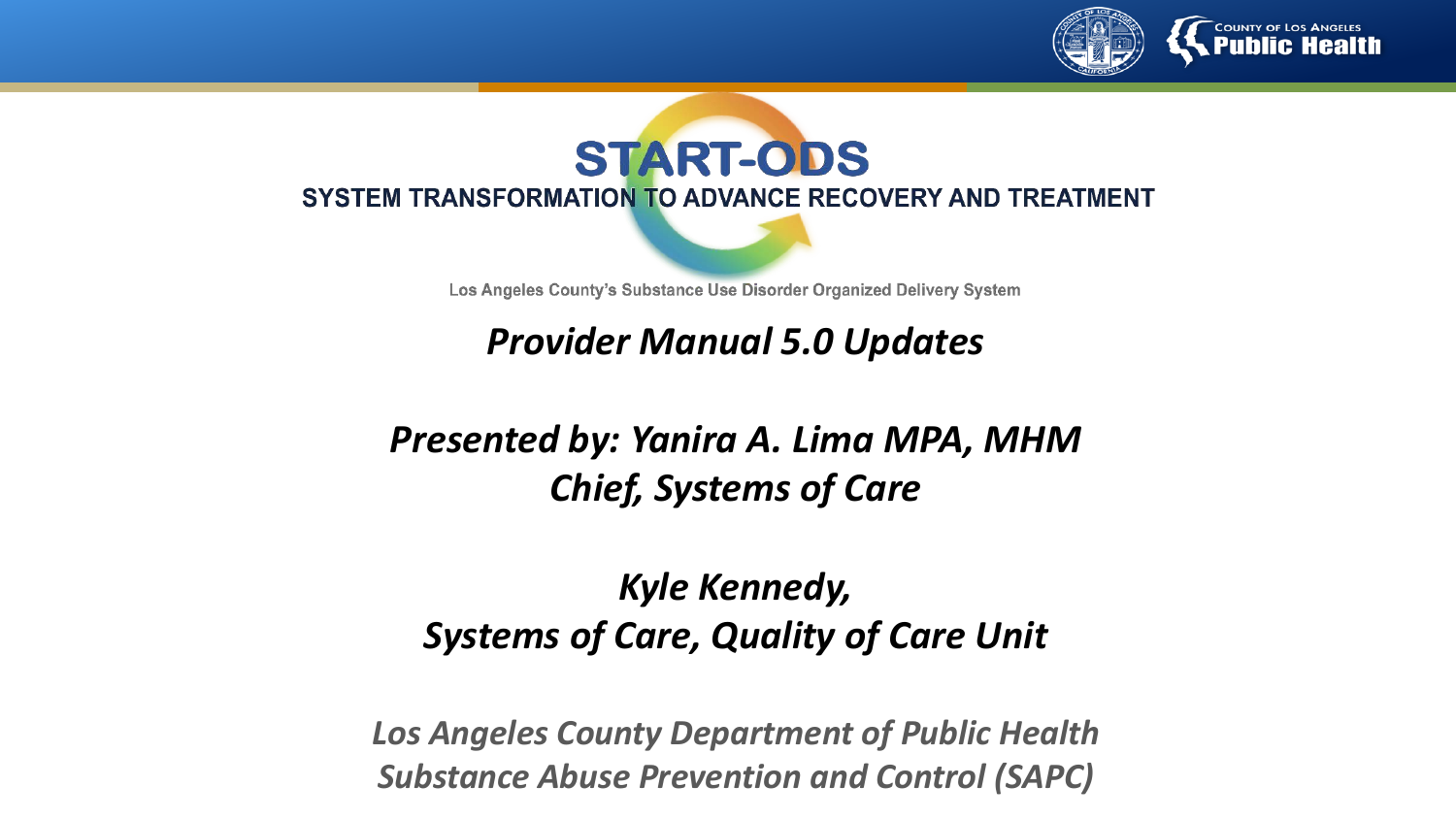



Los Angeles County's Substance Use Disorder Organized Delivery System

*Provider Manual 5.0 Updates*

#### *Presented by: Yanira A. Lima MPA, MHM Chief, Systems of Care*

### *Kyle Kennedy, Systems of Care, Quality of Care Unit*

*Los Angeles County Department of Public Health Substance Abuse Prevention and Control (SAPC)*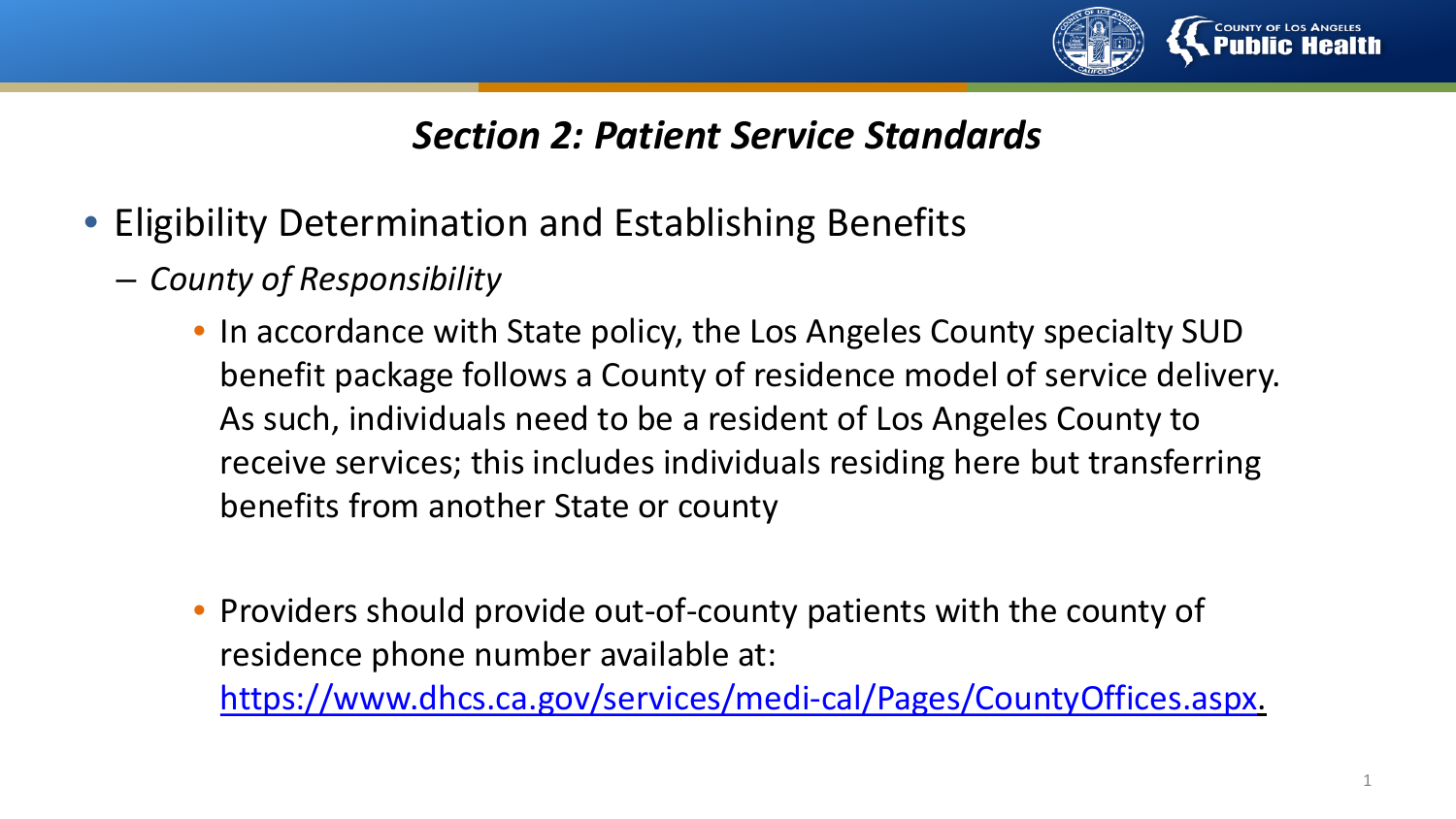

- Eligibility Determination and Establishing Benefits
	- *County of Responsibility*
		- In accordance with State policy, the Los Angeles County specialty SUD benefit package follows a County of residence model of service delivery. As such, individuals need to be a resident of Los Angeles County to receive services; this includes individuals residing here but transferring benefits from another State or county
		- Providers should provide out-of-county patients with the county of residence phone number available at: <https://www.dhcs.ca.gov/services/medi-cal/Pages/CountyOffices.aspx>.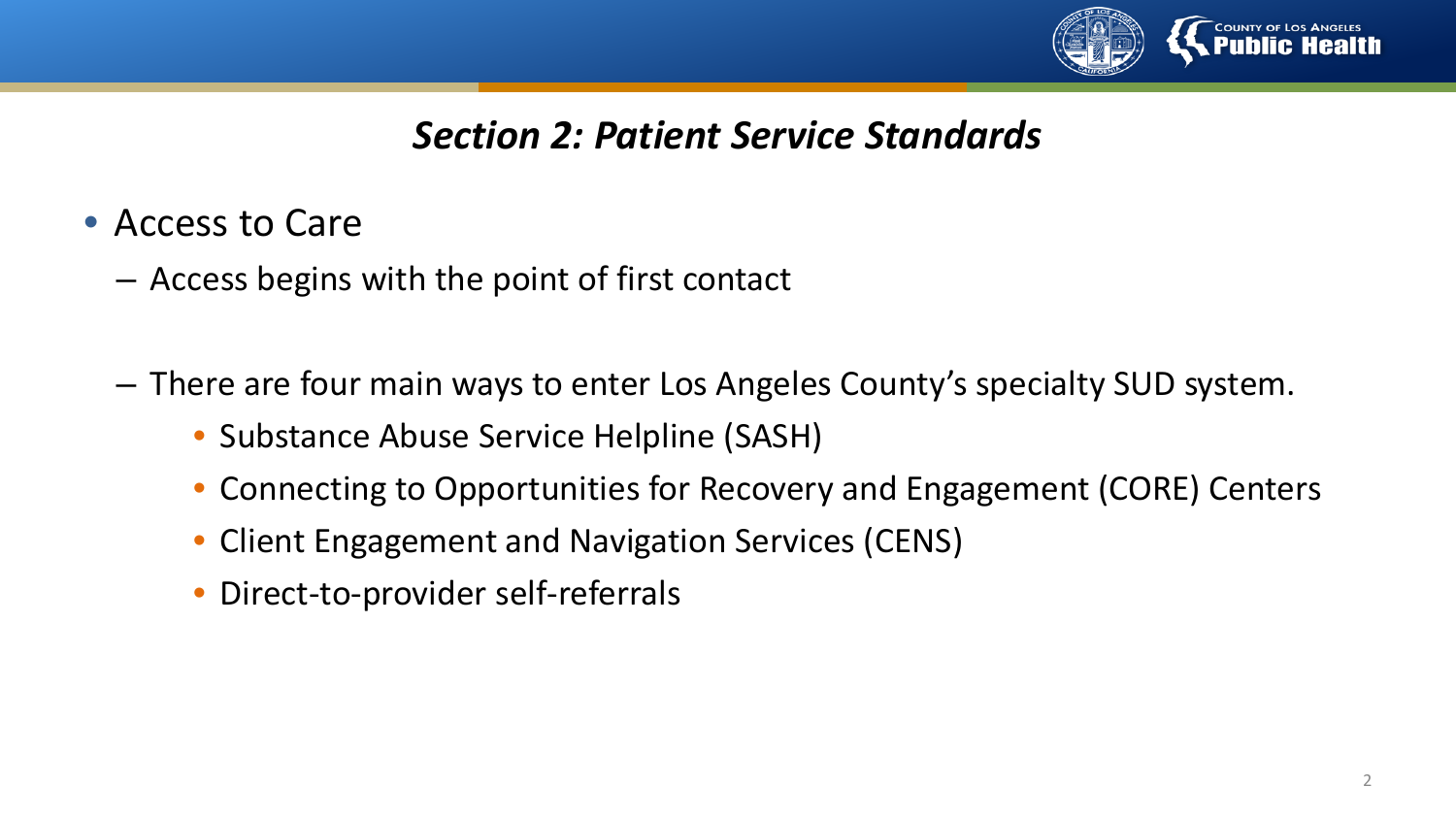

- Access to Care
	- Access begins with the point of first contact
	- There are four main ways to enter Los Angeles County's specialty SUD system.
		- Substance Abuse Service Helpline (SASH)
		- Connecting to Opportunities for Recovery and Engagement (CORE) Centers
		- Client Engagement and Navigation Services (CENS)
		- Direct-to-provider self-referrals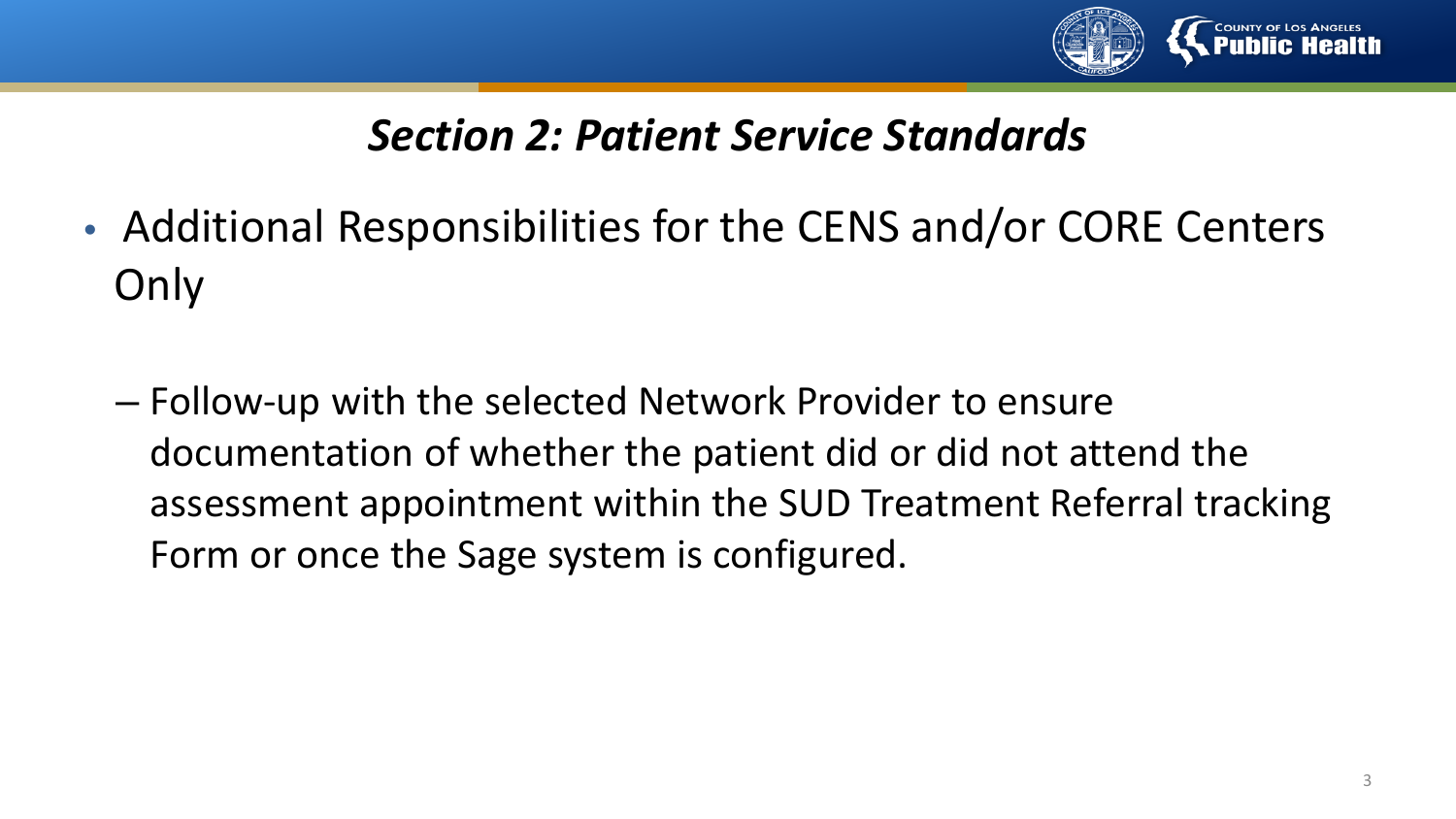

- Additional Responsibilities for the CENS and/or CORE Centers **Only** 
	- Follow-up with the selected Network Provider to ensure documentation of whether the patient did or did not attend the assessment appointment within the SUD Treatment Referral tracking Form or once the Sage system is configured.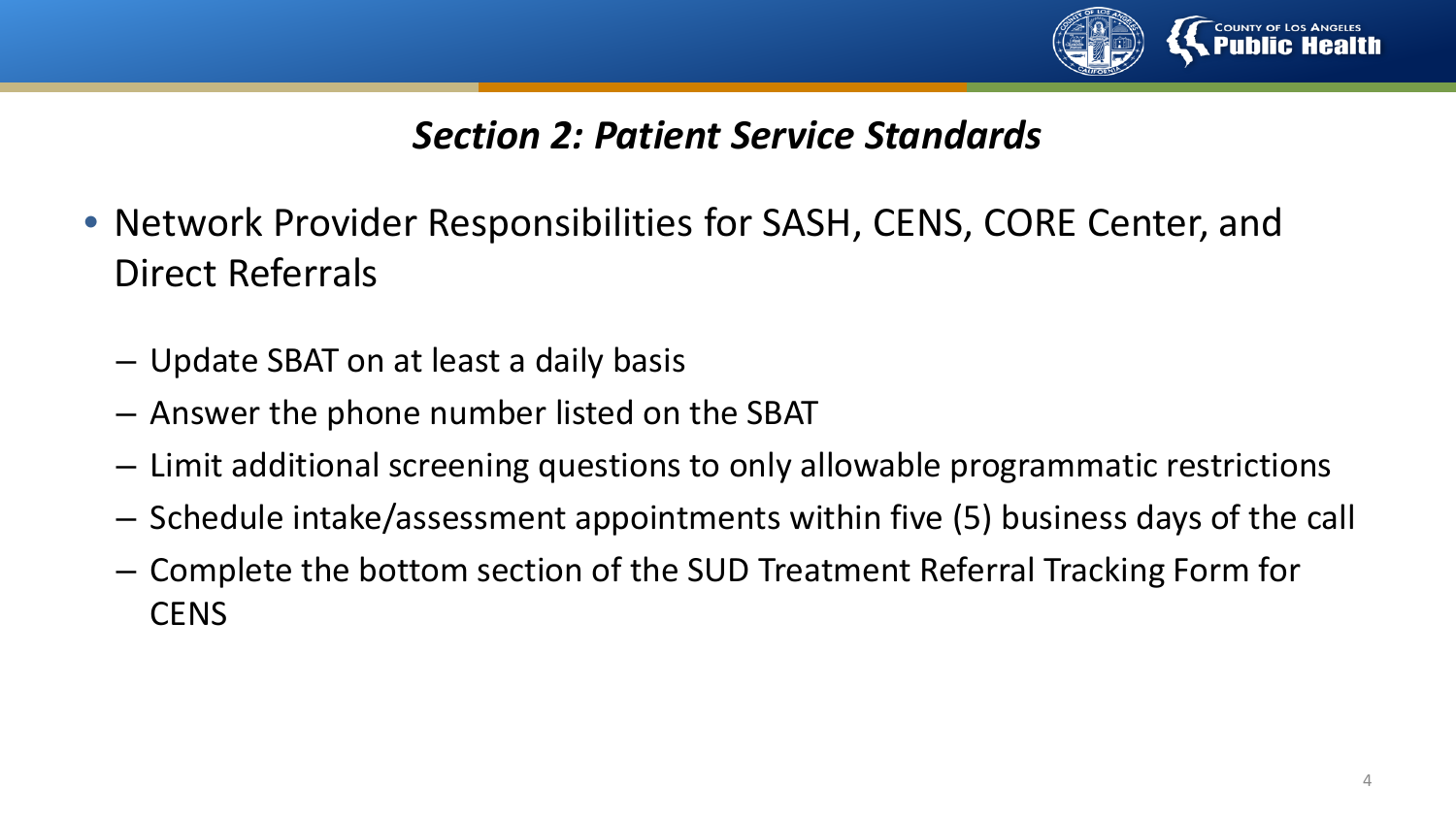

- Network Provider Responsibilities for SASH, CENS, CORE Center, and Direct Referrals
	- Update SBAT on at least a daily basis
	- Answer the phone number listed on the SBAT
	- Limit additional screening questions to only allowable programmatic restrictions
	- Schedule intake/assessment appointments within five (5) business days of the call
	- Complete the bottom section of the SUD Treatment Referral Tracking Form for **CENS**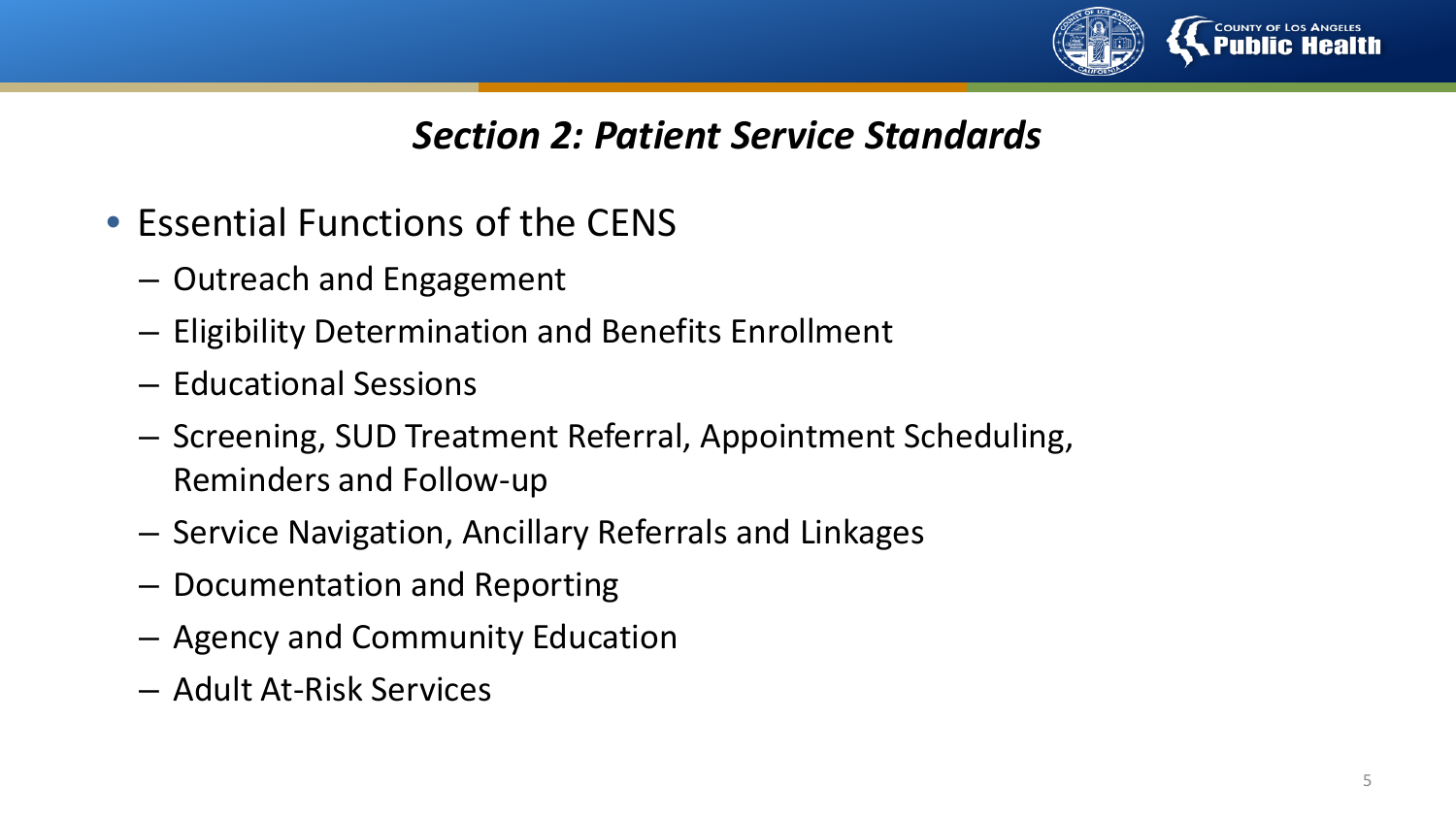

- Essential Functions of the CENS
	- Outreach and Engagement
	- Eligibility Determination and Benefits Enrollment
	- Educational Sessions
	- Screening, SUD Treatment Referral, Appointment Scheduling, Reminders and Follow-up
	- Service Navigation, Ancillary Referrals and Linkages
	- Documentation and Reporting
	- Agency and Community Education
	- Adult At-Risk Services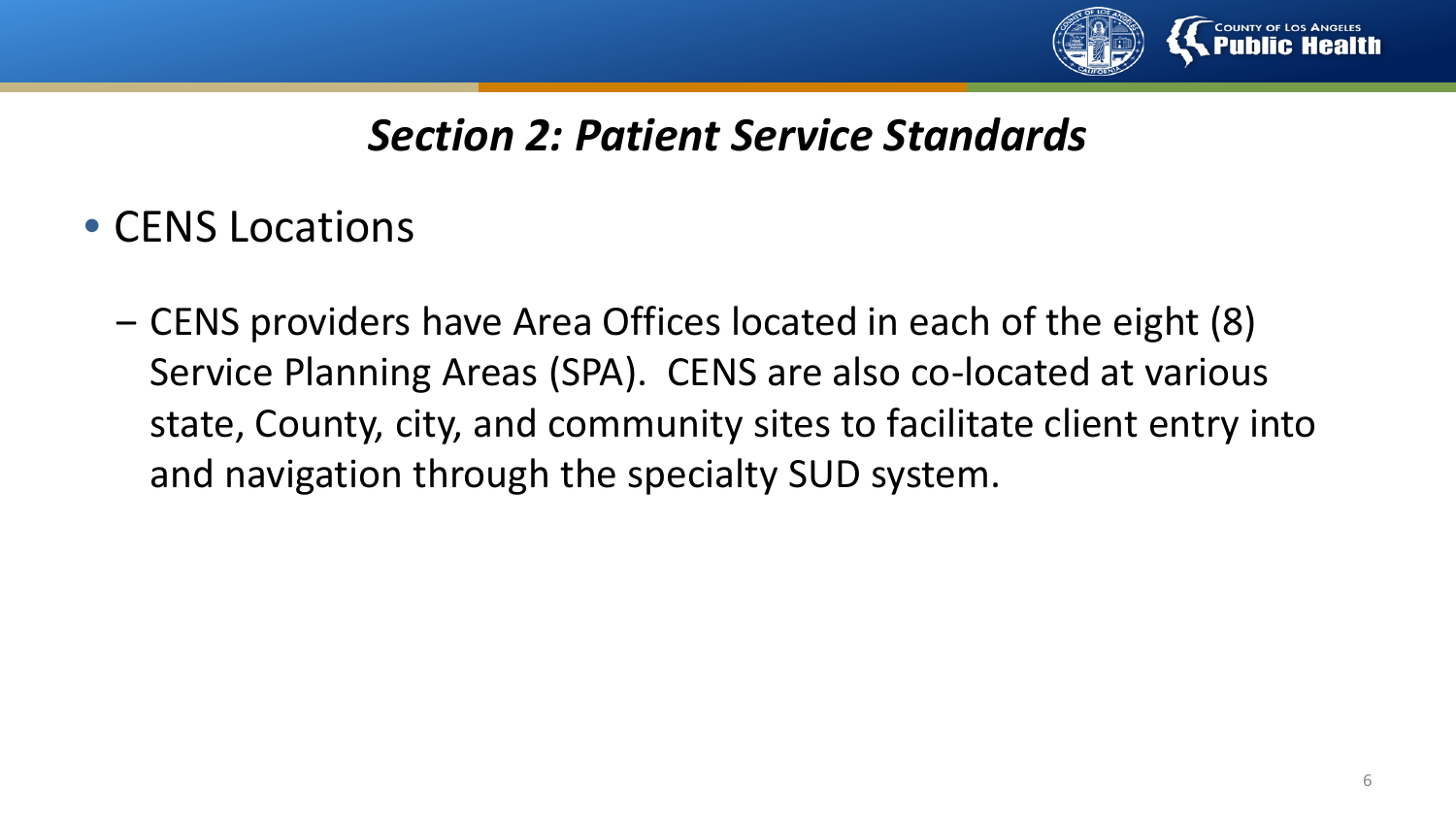

- CENS Locations
	- ‒ CENS providers have Area Offices located in each of the eight (8) Service Planning Areas (SPA). CENS are also co-located at various state, County, city, and community sites to facilitate client entry into and navigation through the specialty SUD system.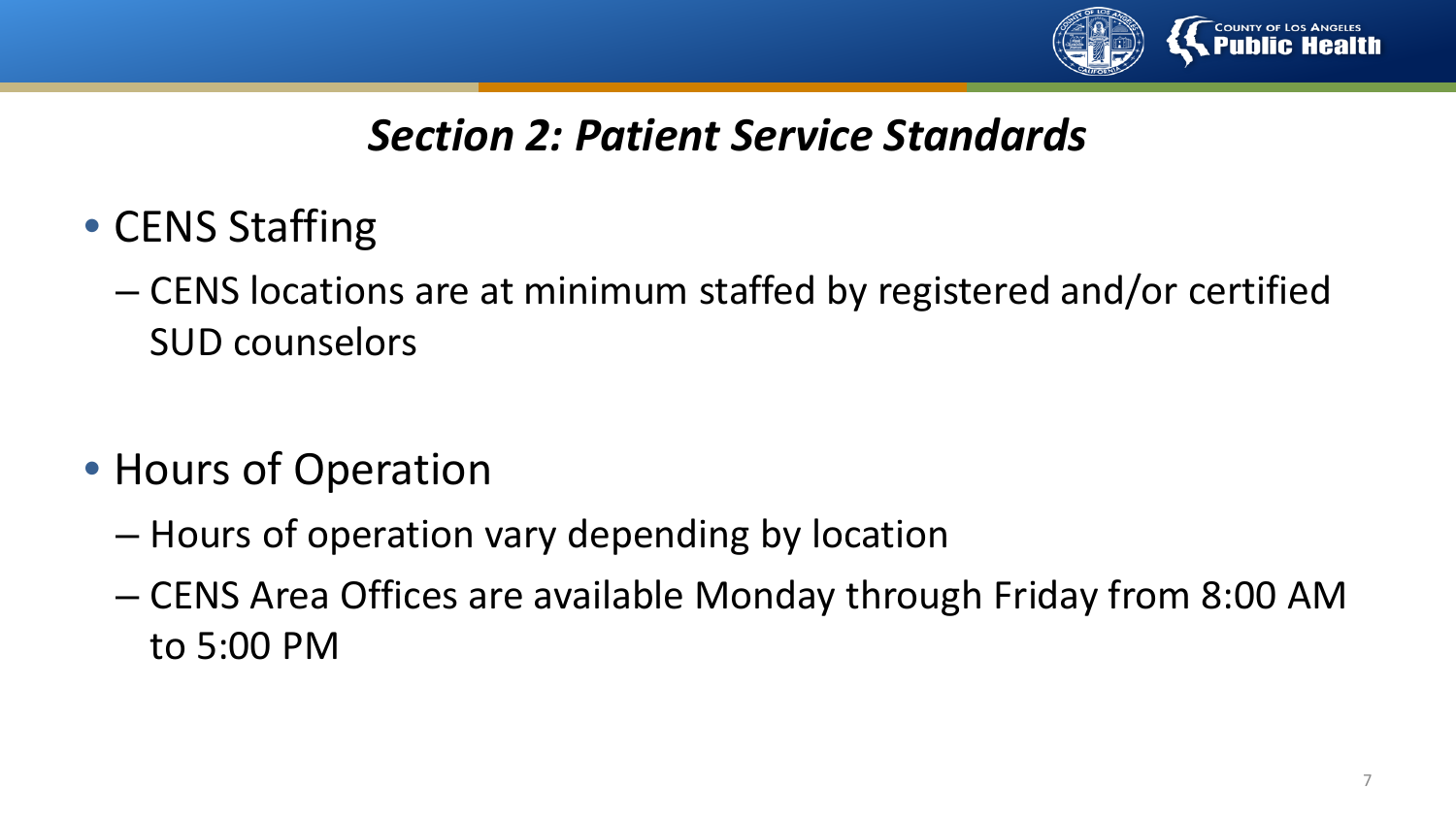

- CENS Staffing
	- CENS locations are at minimum staffed by registered and/or certified SUD counselors
- Hours of Operation
	- Hours of operation vary depending by location
	- CENS Area Offices are available Monday through Friday from 8:00 AM to 5:00 PM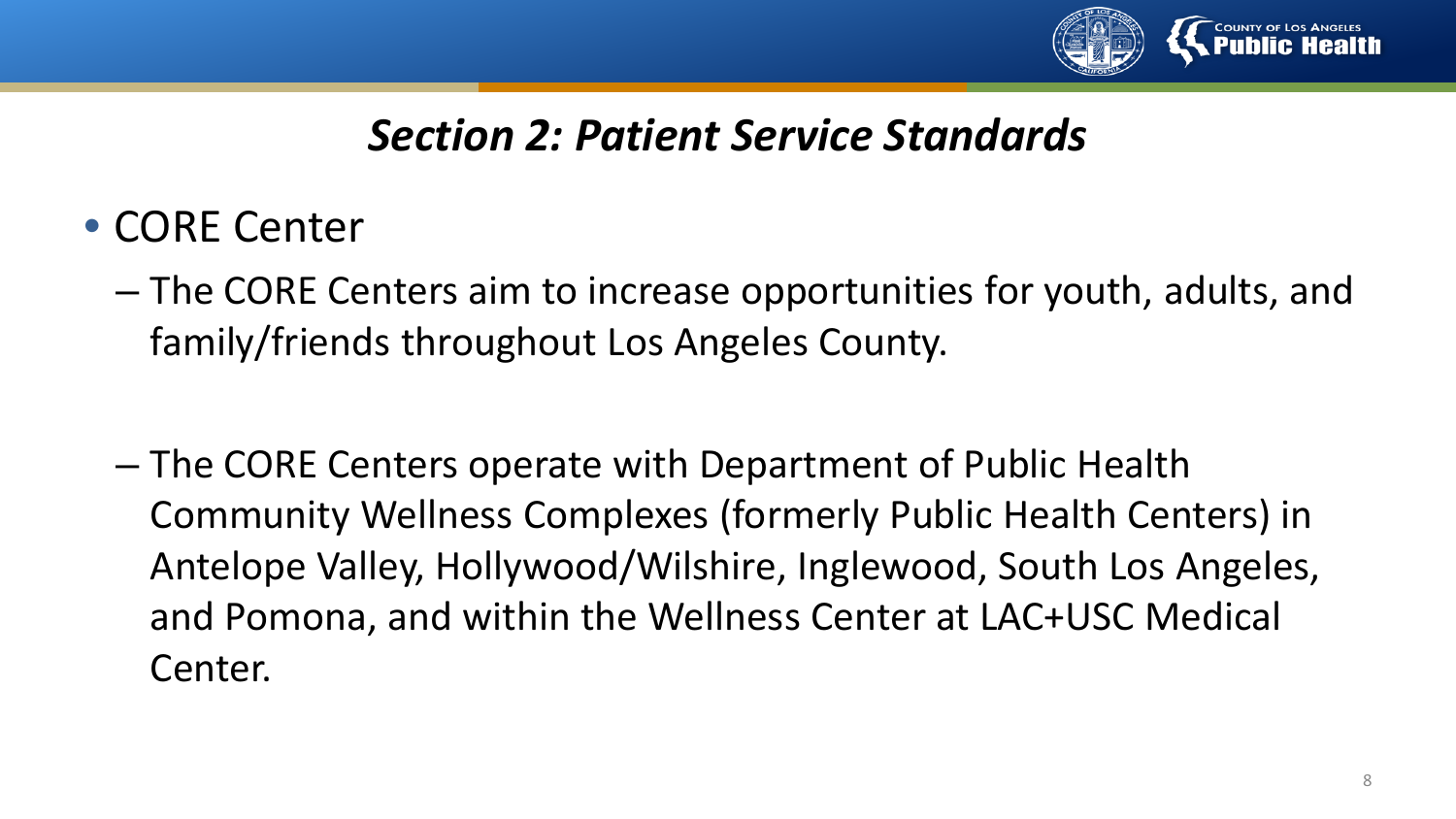

- CORE Center
	- The CORE Centers aim to increase opportunities for youth, adults, and family/friends throughout Los Angeles County.
	- The CORE Centers operate with Department of Public Health Community Wellness Complexes (formerly Public Health Centers) in Antelope Valley, Hollywood/Wilshire, Inglewood, South Los Angeles, and Pomona, and within the Wellness Center at LAC+USC Medical Center.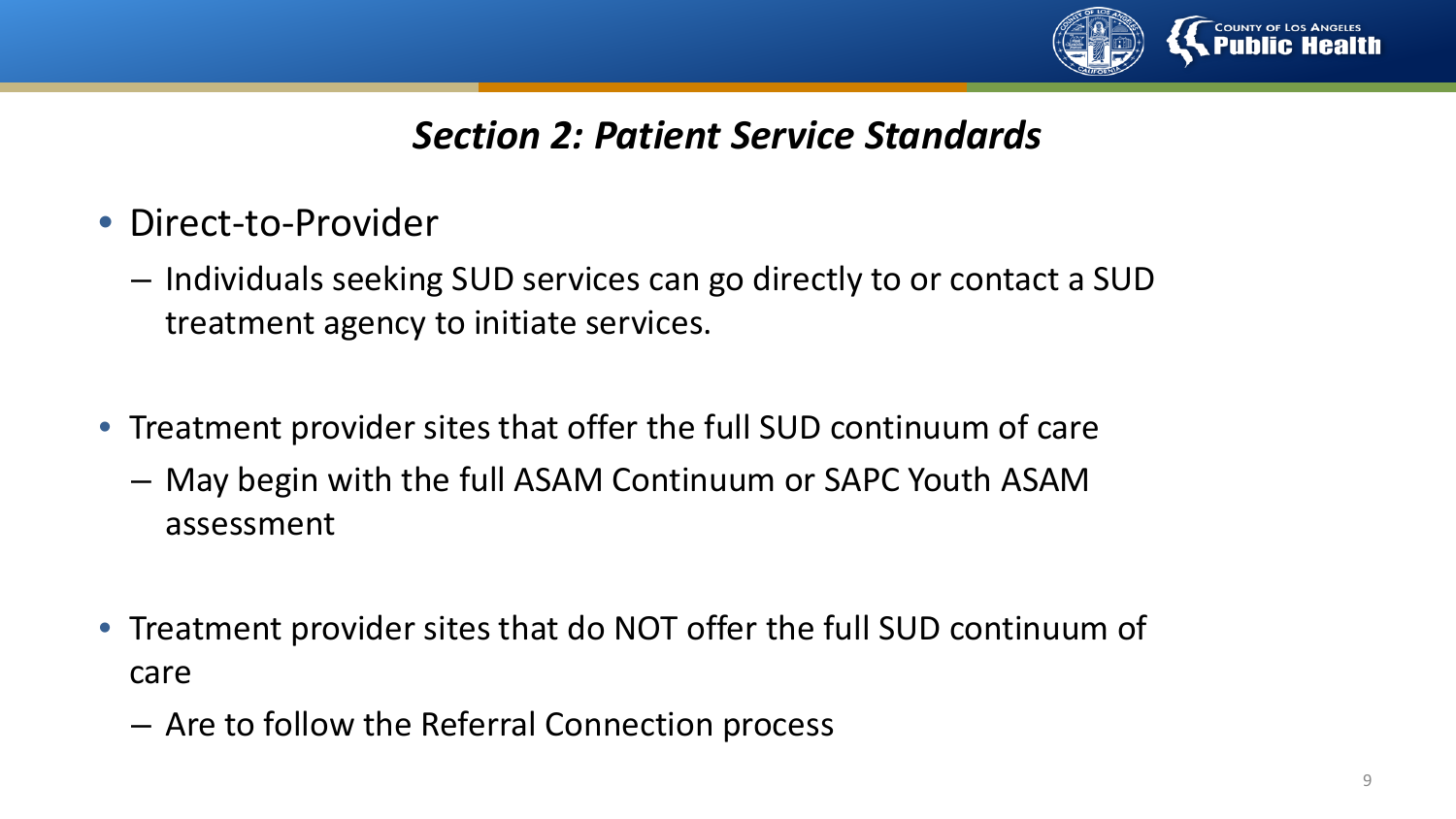

- Direct-to-Provider
	- Individuals seeking SUD services can go directly to or contact a SUD treatment agency to initiate services.
- Treatment provider sites that offer the full SUD continuum of care
	- May begin with the full ASAM Continuum or SAPC Youth ASAM assessment
- Treatment provider sites that do NOT offer the full SUD continuum of care
	- Are to follow the Referral Connection process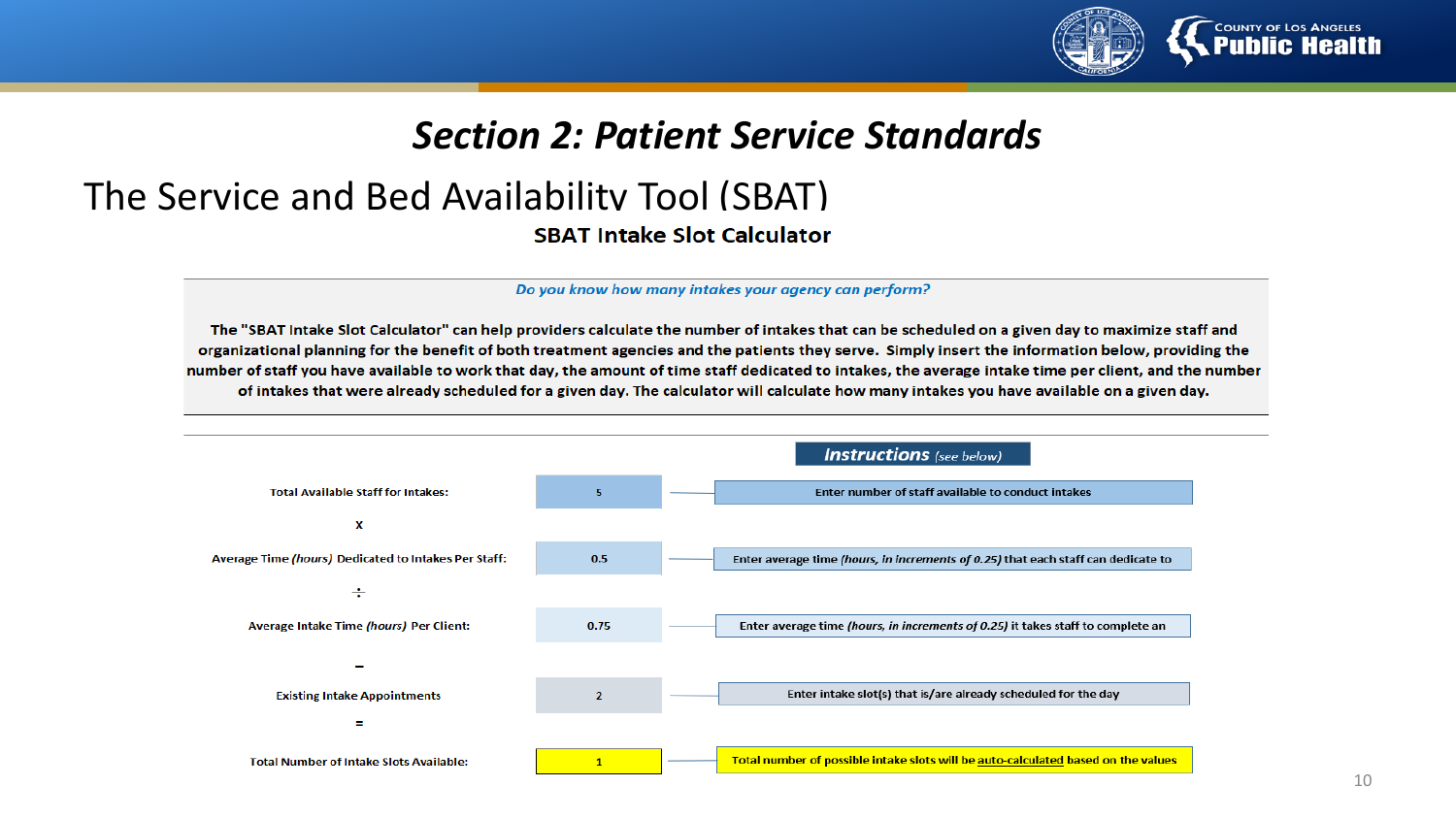

#### The Service and Bed Availability Tool (SBAT) **SBAT Intake Slot Calculator**

Do you know how many intakes your agency can perform?

The "SBAT Intake Slot Calculator" can help providers calculate the number of intakes that can be scheduled on a given day to maximize staff and organizational planning for the benefit of both treatment agencies and the patients they serve. Simply insert the information below, providing the number of staff you have available to work that day, the amount of time staff dedicated to intakes, the average intake time per client, and the number of intakes that were already scheduled for a given day. The calculator will calculate how many intakes you have available on a given day.

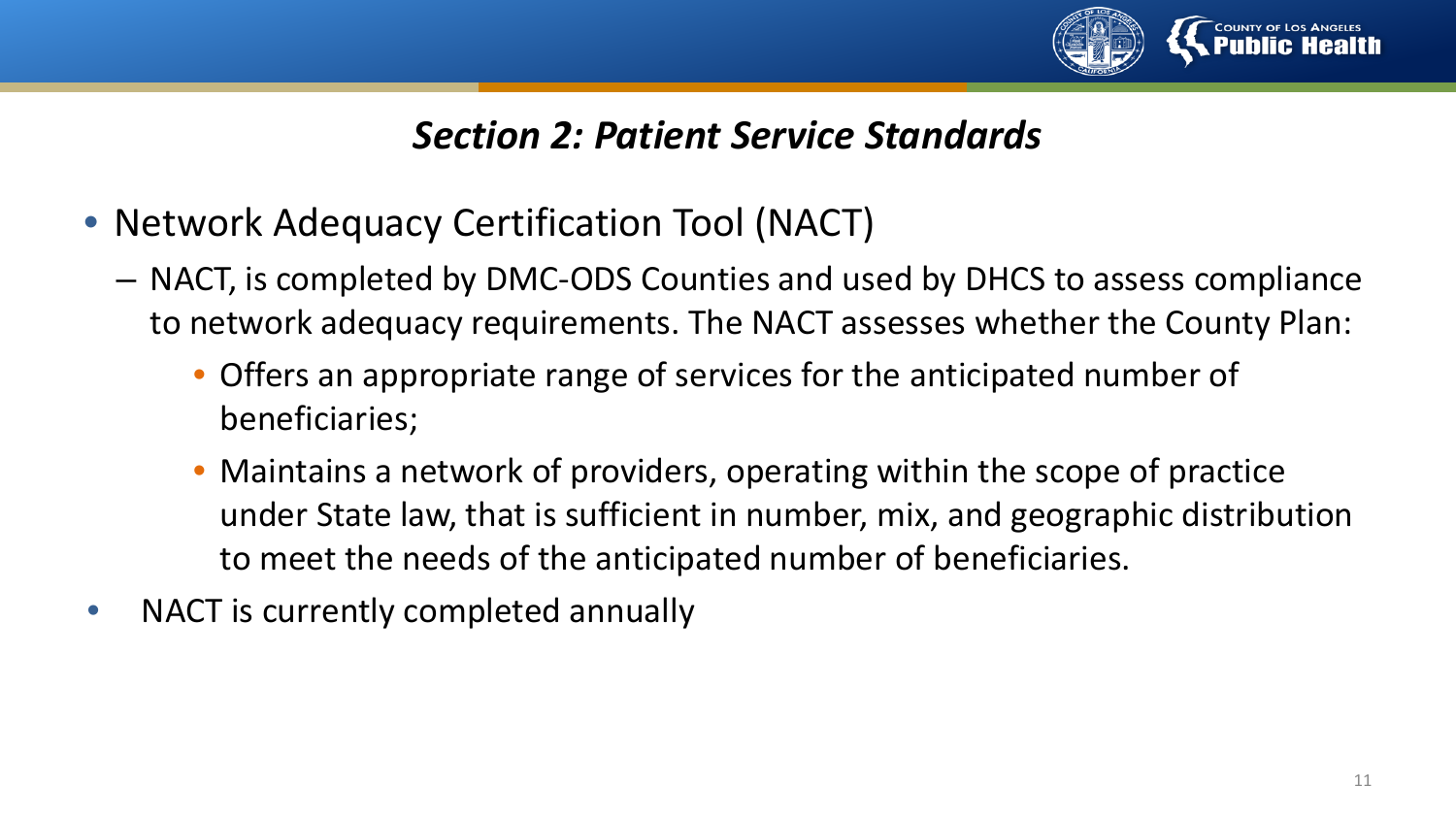

- Network Adequacy Certification Tool (NACT)
	- NACT, is completed by DMC-ODS Counties and used by DHCS to assess compliance to network adequacy requirements. The NACT assesses whether the County Plan:
		- Offers an appropriate range of services for the anticipated number of beneficiaries;
		- Maintains a network of providers, operating within the scope of practice under State law, that is sufficient in number, mix, and geographic distribution to meet the needs of the anticipated number of beneficiaries.
- NACT is currently completed annually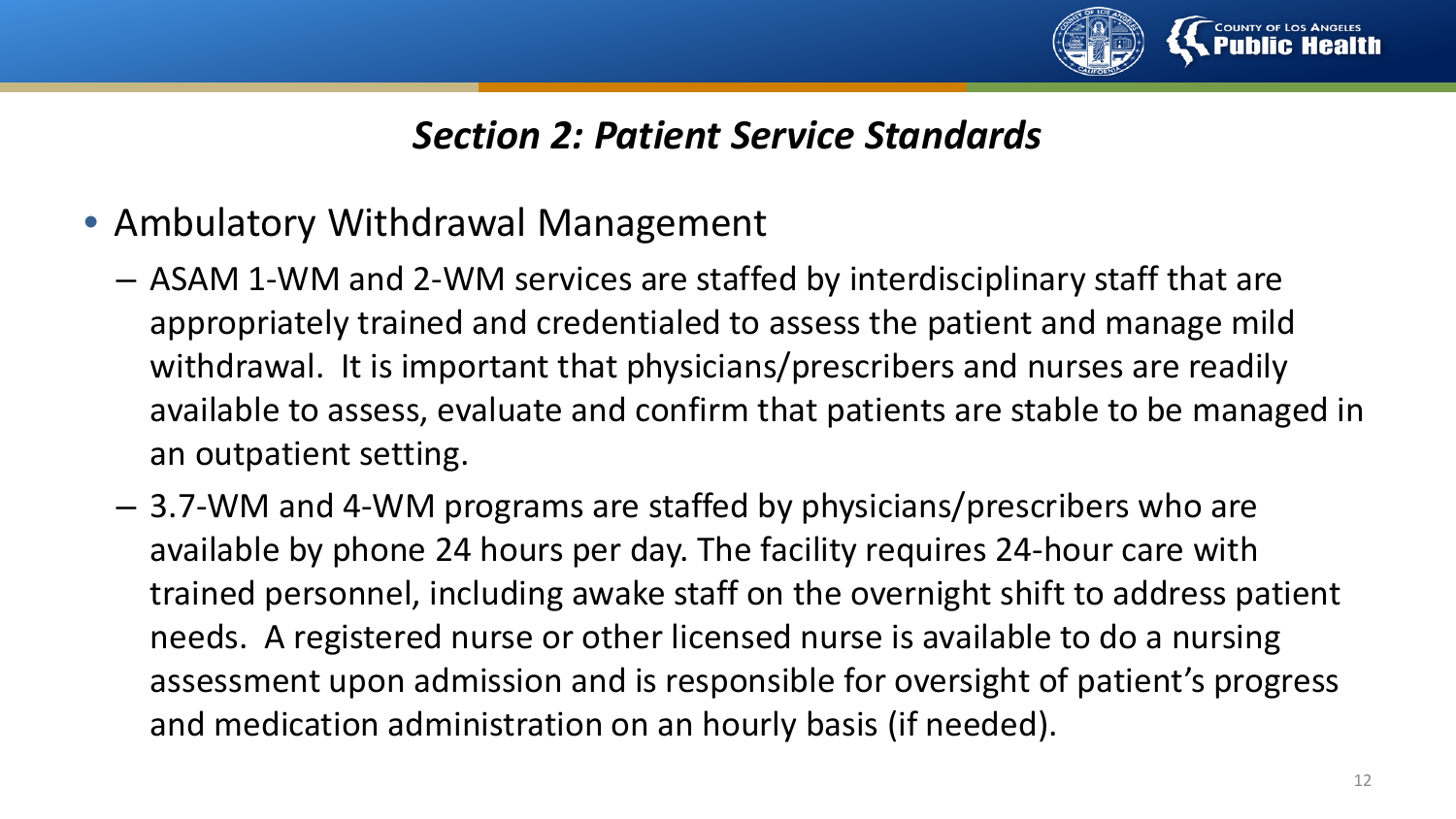

- Ambulatory Withdrawal Management
	- ASAM 1-WM and 2-WM services are staffed by interdisciplinary staff that are appropriately trained and credentialed to assess the patient and manage mild withdrawal. It is important that physicians/prescribers and nurses are readily available to assess, evaluate and confirm that patients are stable to be managed in an outpatient setting.
	- 3.7-WM and 4-WM programs are staffed by physicians/prescribers who are available by phone 24 hours per day. The facility requires 24-hour care with trained personnel, including awake staff on the overnight shift to address patient needs. A registered nurse or other licensed nurse is available to do a nursing assessment upon admission and is responsible for oversight of patient's progress and medication administration on an hourly basis (if needed).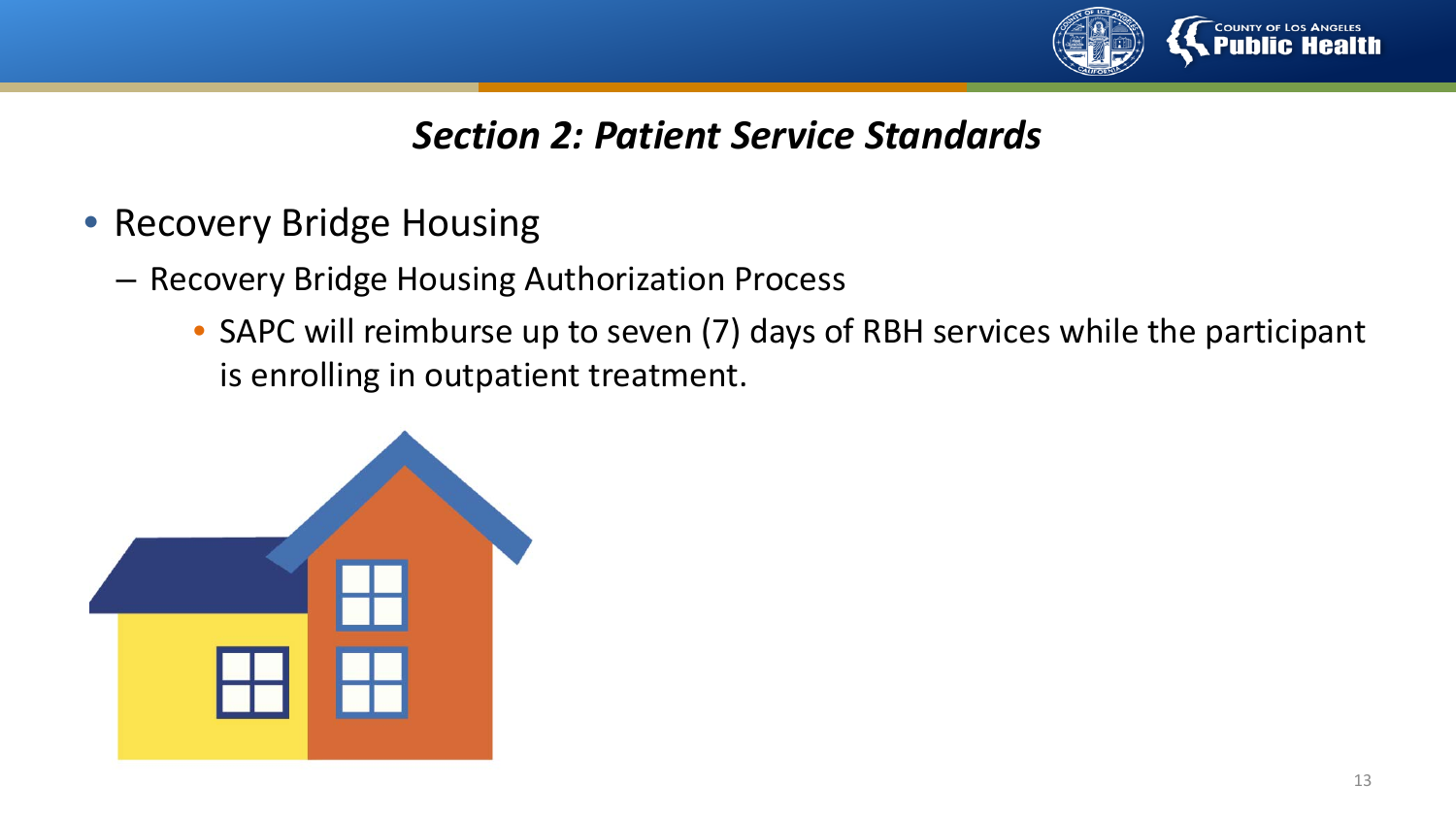

- Recovery Bridge Housing
	- Recovery Bridge Housing Authorization Process
		- SAPC will reimburse up to seven (7) days of RBH services while the participant is enrolling in outpatient treatment.

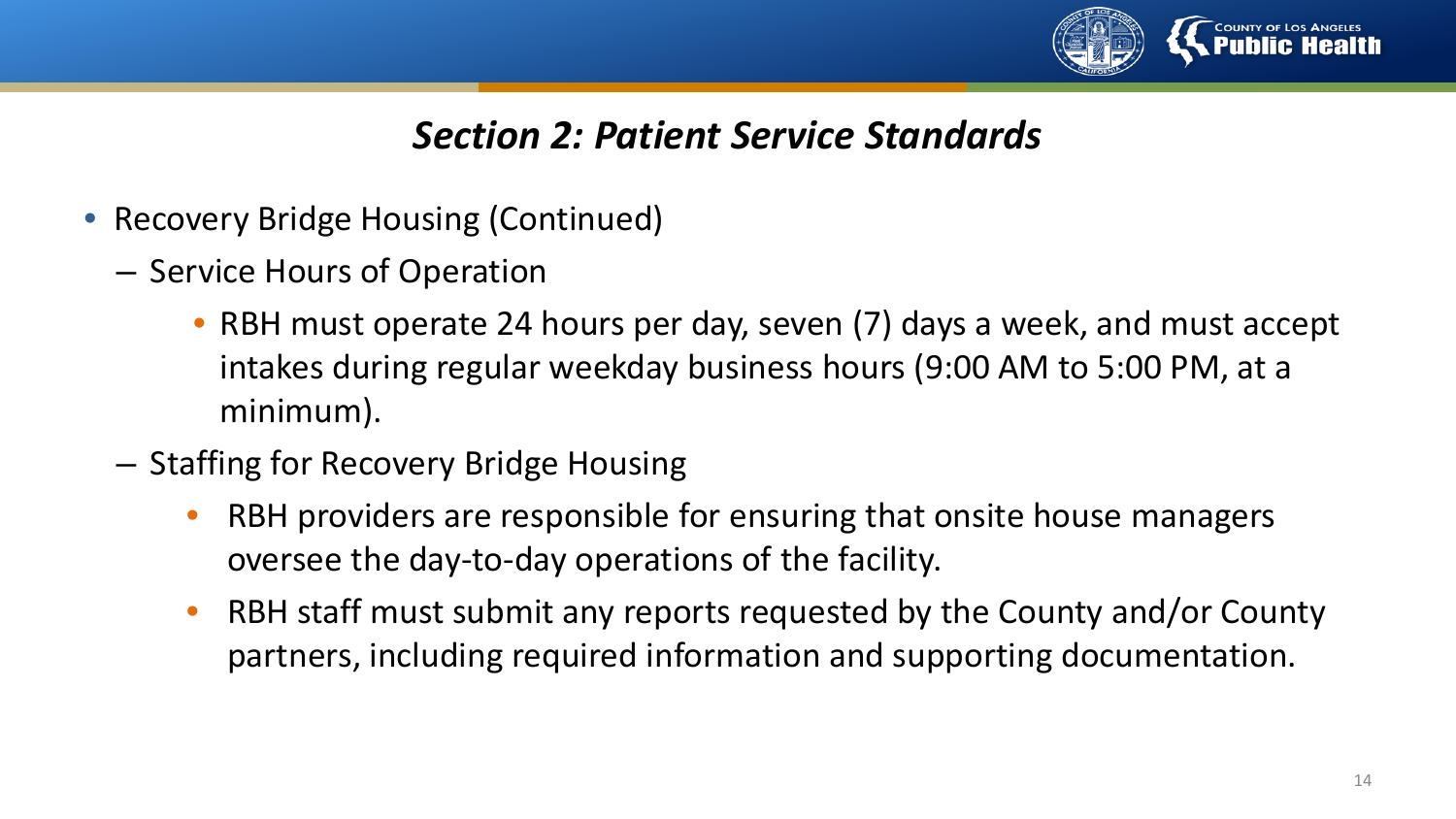

- Recovery Bridge Housing (Continued)
	- Service Hours of Operation
		- RBH must operate 24 hours per day, seven (7) days a week, and must accept intakes during regular weekday business hours (9:00 AM to 5:00 PM, at a minimum).
	- Staffing for Recovery Bridge Housing
		- RBH providers are responsible for ensuring that onsite house managers oversee the day-to-day operations of the facility.
		- RBH staff must submit any reports requested by the County and/or County partners, including required information and supporting documentation.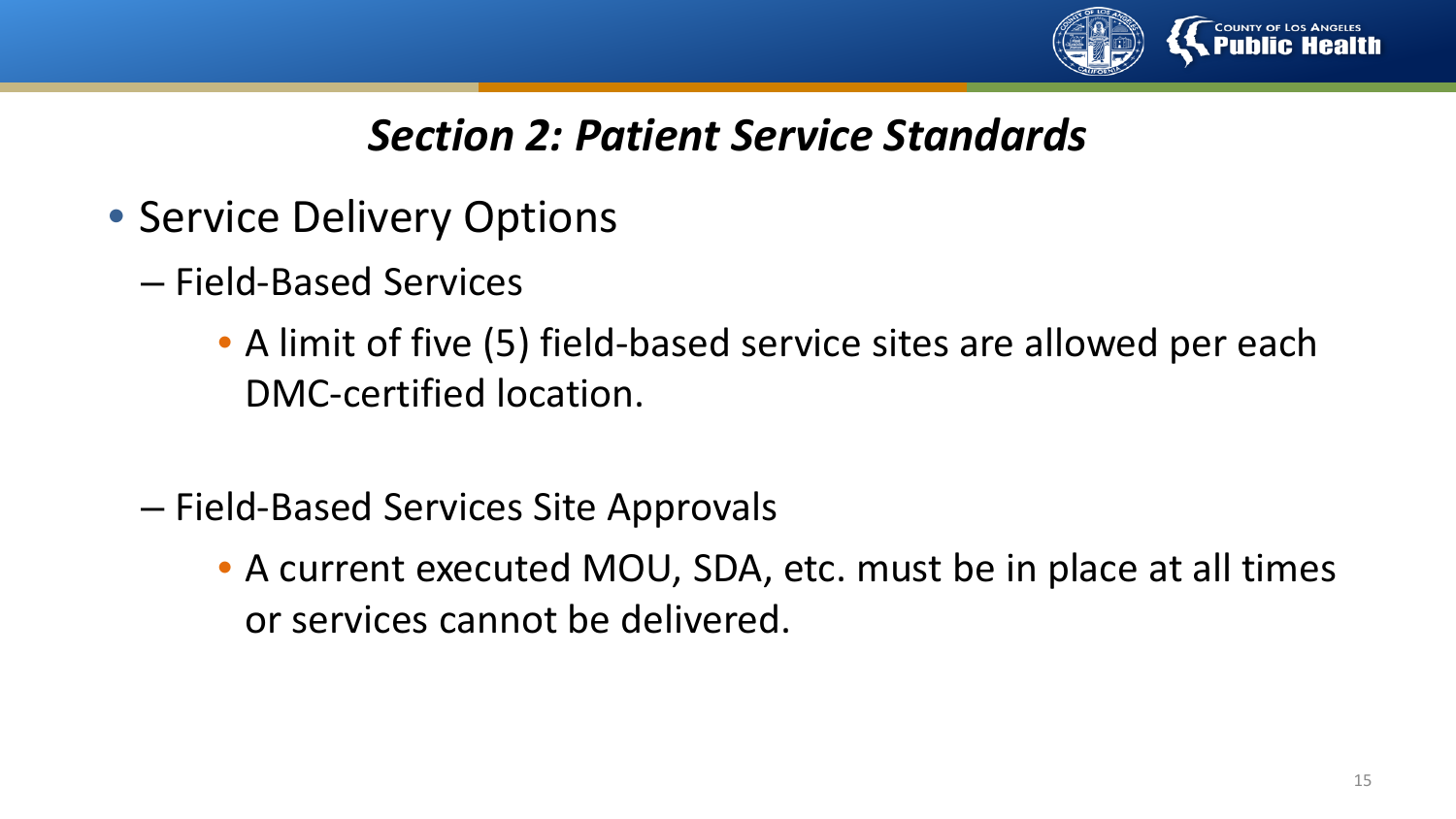

- Service Delivery Options
	- Field-Based Services
		- A limit of five (5) field-based service sites are allowed per each DMC-certified location.
	- Field-Based Services Site Approvals
		- A current executed MOU, SDA, etc. must be in place at all times or services cannot be delivered.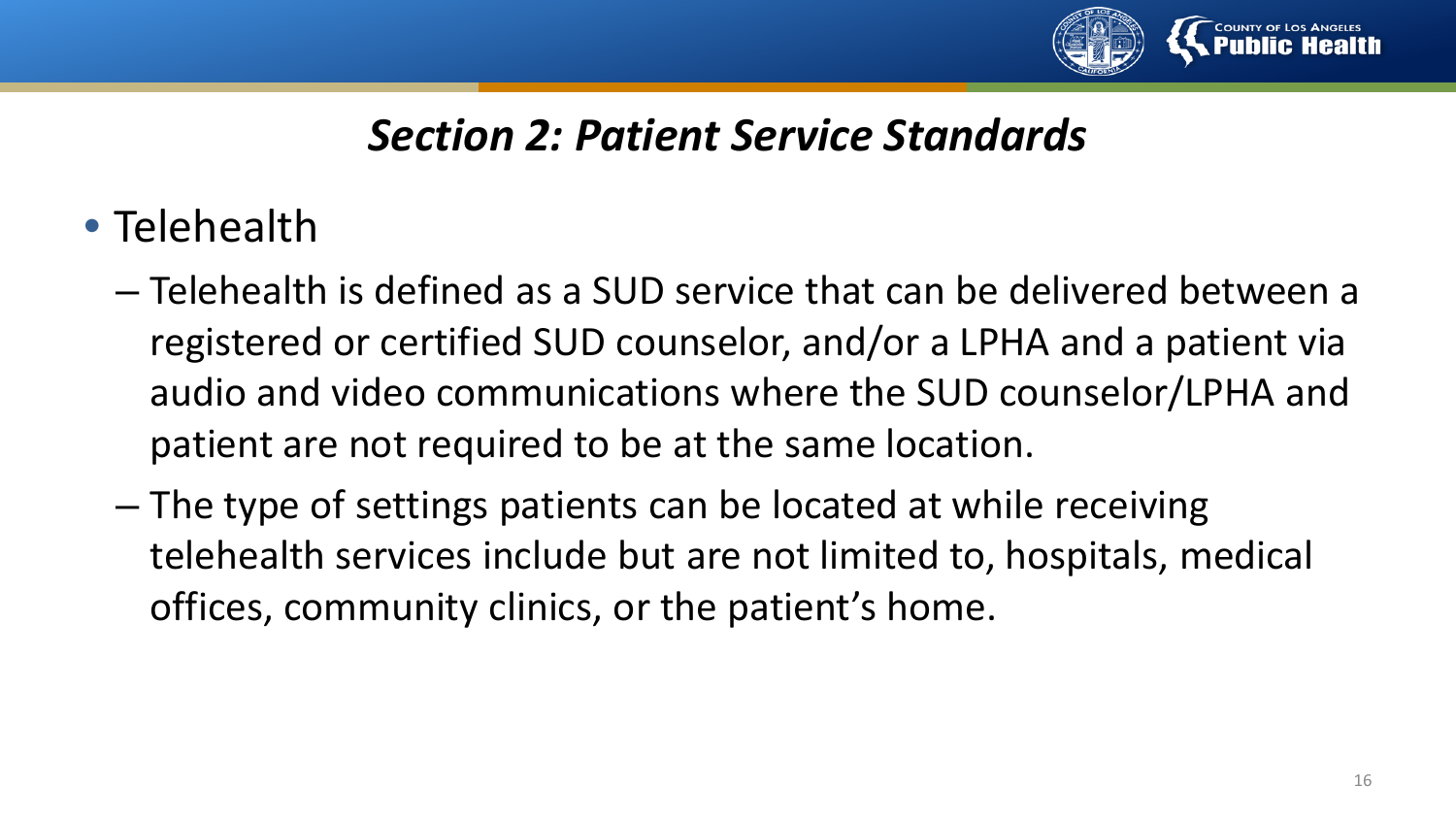

- Telehealth
	- Telehealth is defined as a SUD service that can be delivered between a registered or certified SUD counselor, and/or a LPHA and a patient via audio and video communications where the SUD counselor/LPHA and patient are not required to be at the same location.
	- The type of settings patients can be located at while receiving telehealth services include but are not limited to, hospitals, medical offices, community clinics, or the patient's home.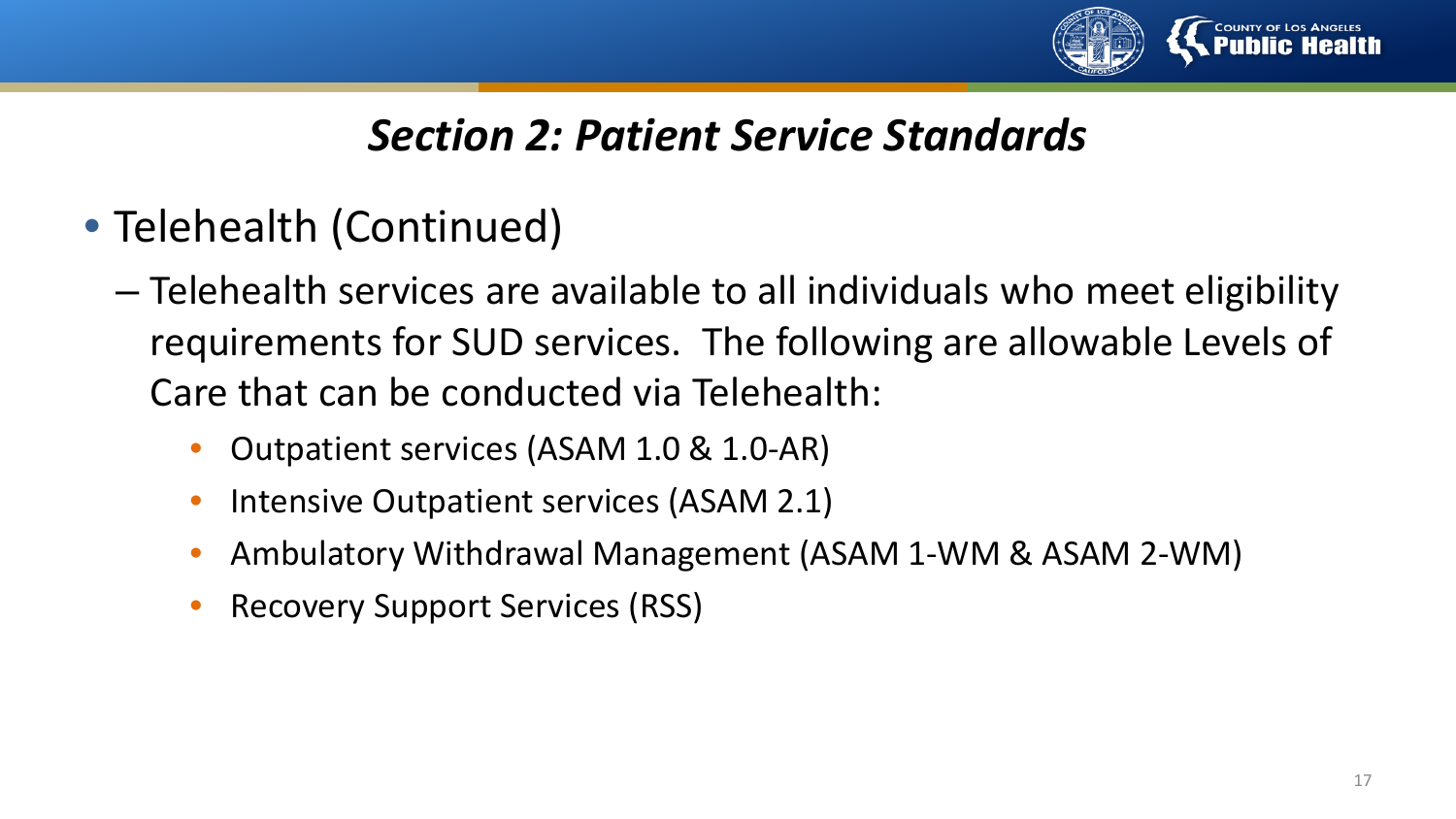

- Telehealth (Continued)
	- Telehealth services are available to all individuals who meet eligibility requirements for SUD services. The following are allowable Levels of Care that can be conducted via Telehealth:
		- Outpatient services (ASAM 1.0 & 1.0-AR)
		- Intensive Outpatient services (ASAM 2.1)
		- Ambulatory Withdrawal Management (ASAM 1-WM & ASAM 2-WM)
		- Recovery Support Services (RSS)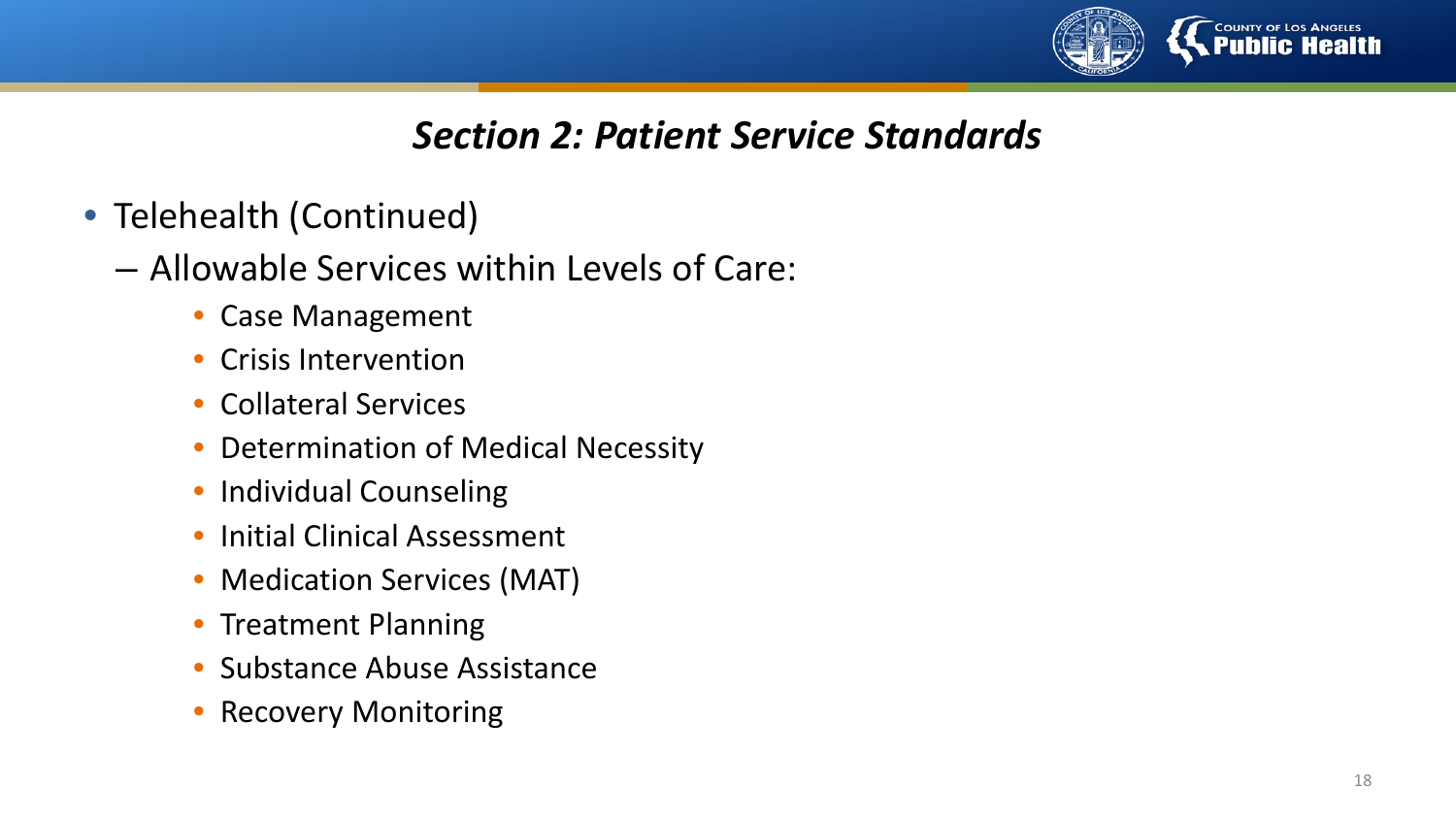

- Telehealth (Continued)
	- Allowable Services within Levels of Care:
		- Case Management
		- Crisis Intervention
		- Collateral Services
		- Determination of Medical Necessity
		- Individual Counseling
		- Initial Clinical Assessment
		- Medication Services (MAT)
		- Treatment Planning
		- Substance Abuse Assistance
		- **Recovery Monitoring**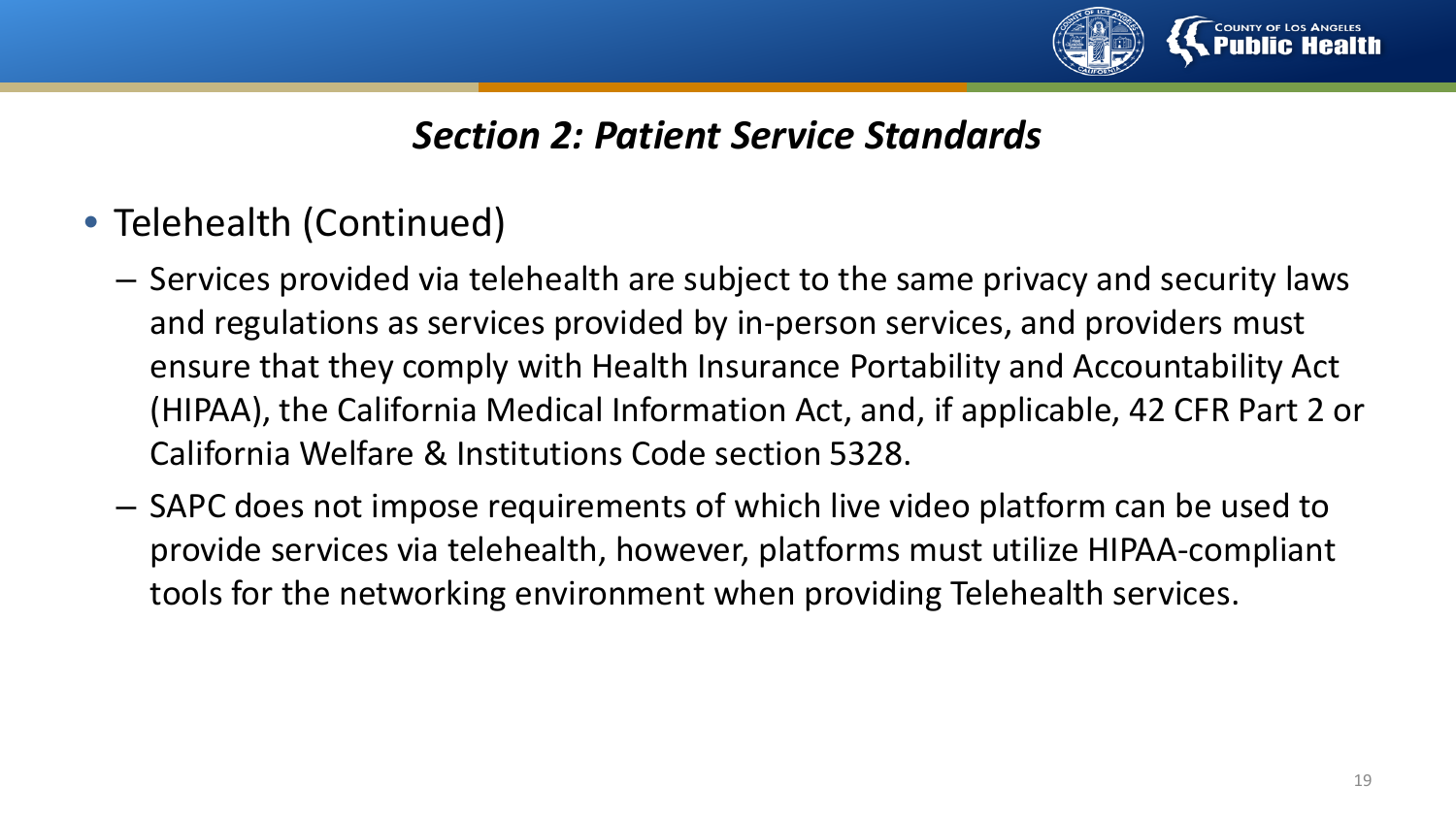

- Telehealth (Continued)
	- Services provided via telehealth are subject to the same privacy and security laws and regulations as services provided by in-person services, and providers must ensure that they comply with Health Insurance Portability and Accountability Act (HIPAA), the California Medical Information Act, and, if applicable, 42 CFR Part 2 or California Welfare & Institutions Code section 5328.
	- SAPC does not impose requirements of which live video platform can be used to provide services via telehealth, however, platforms must utilize HIPAA-compliant tools for the networking environment when providing Telehealth services.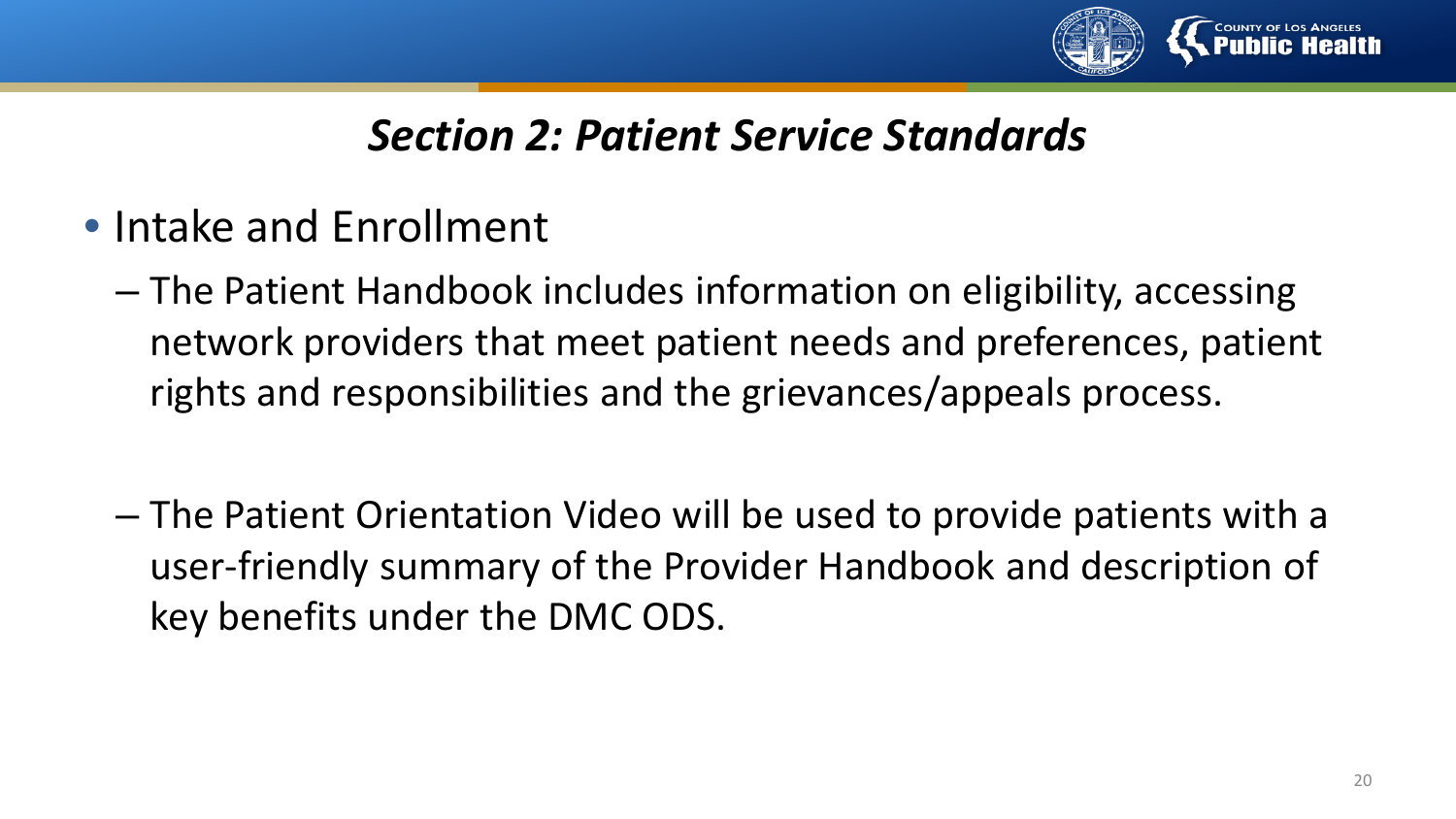

- Intake and Enrollment
	- The Patient Handbook includes information on eligibility, accessing network providers that meet patient needs and preferences, patient rights and responsibilities and the grievances/appeals process.
	- The Patient Orientation Video will be used to provide patients with a user-friendly summary of the Provider Handbook and description of key benefits under the DMC ODS.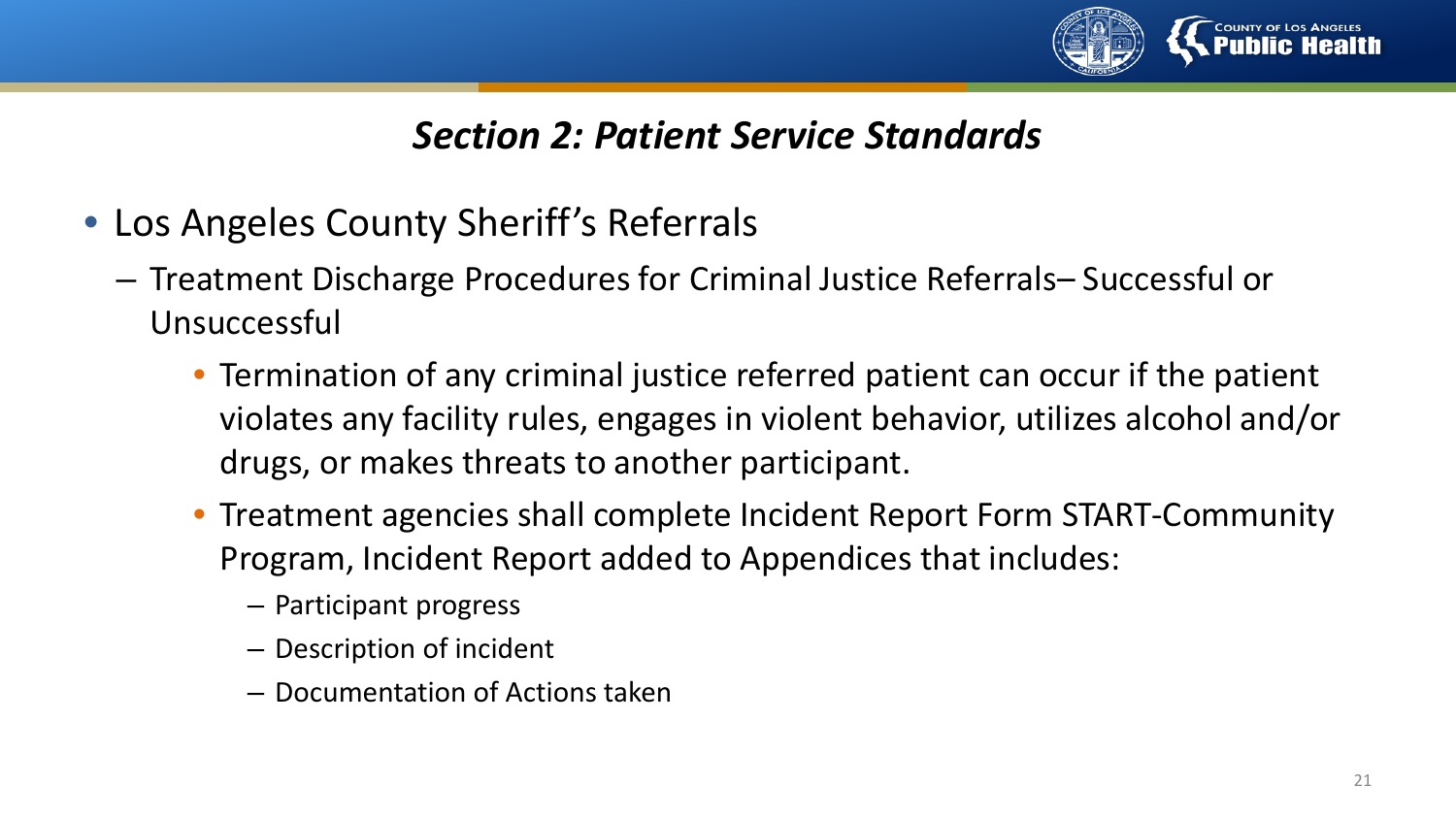

- Los Angeles County Sheriff's Referrals
	- Treatment Discharge Procedures for Criminal Justice Referrals– Successful or Unsuccessful
		- Termination of any criminal justice referred patient can occur if the patient violates any facility rules, engages in violent behavior, utilizes alcohol and/or drugs, or makes threats to another participant.
		- Treatment agencies shall complete Incident Report Form START-Community Program, Incident Report added to Appendices that includes:
			- Participant progress
			- Description of incident
			- Documentation of Actions taken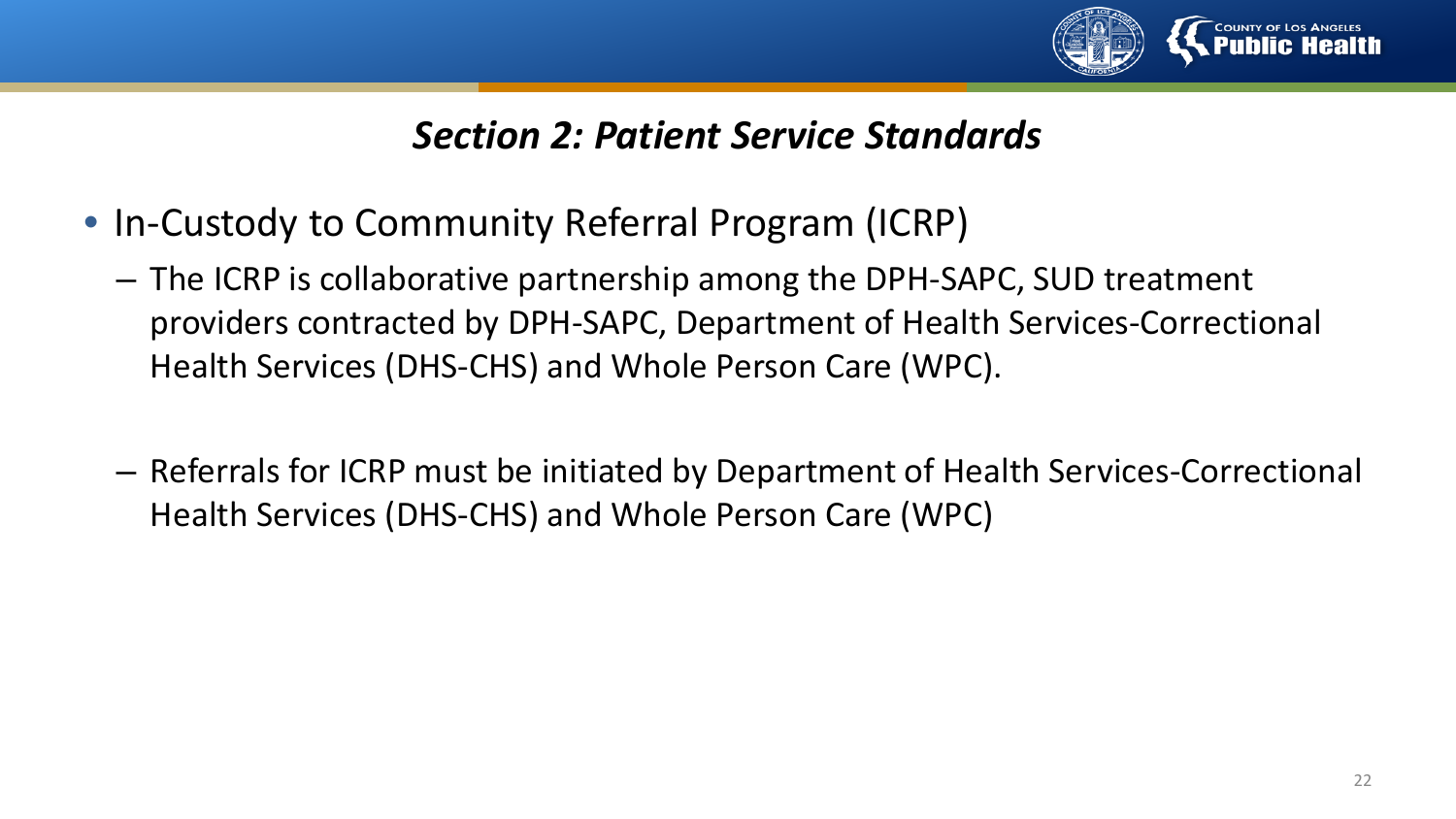

- In-Custody to Community Referral Program (ICRP)
	- The ICRP is collaborative partnership among the DPH-SAPC, SUD treatment providers contracted by DPH-SAPC, Department of Health Services-Correctional Health Services (DHS-CHS) and Whole Person Care (WPC).
	- Referrals for ICRP must be initiated by Department of Health Services-Correctional Health Services (DHS-CHS) and Whole Person Care (WPC)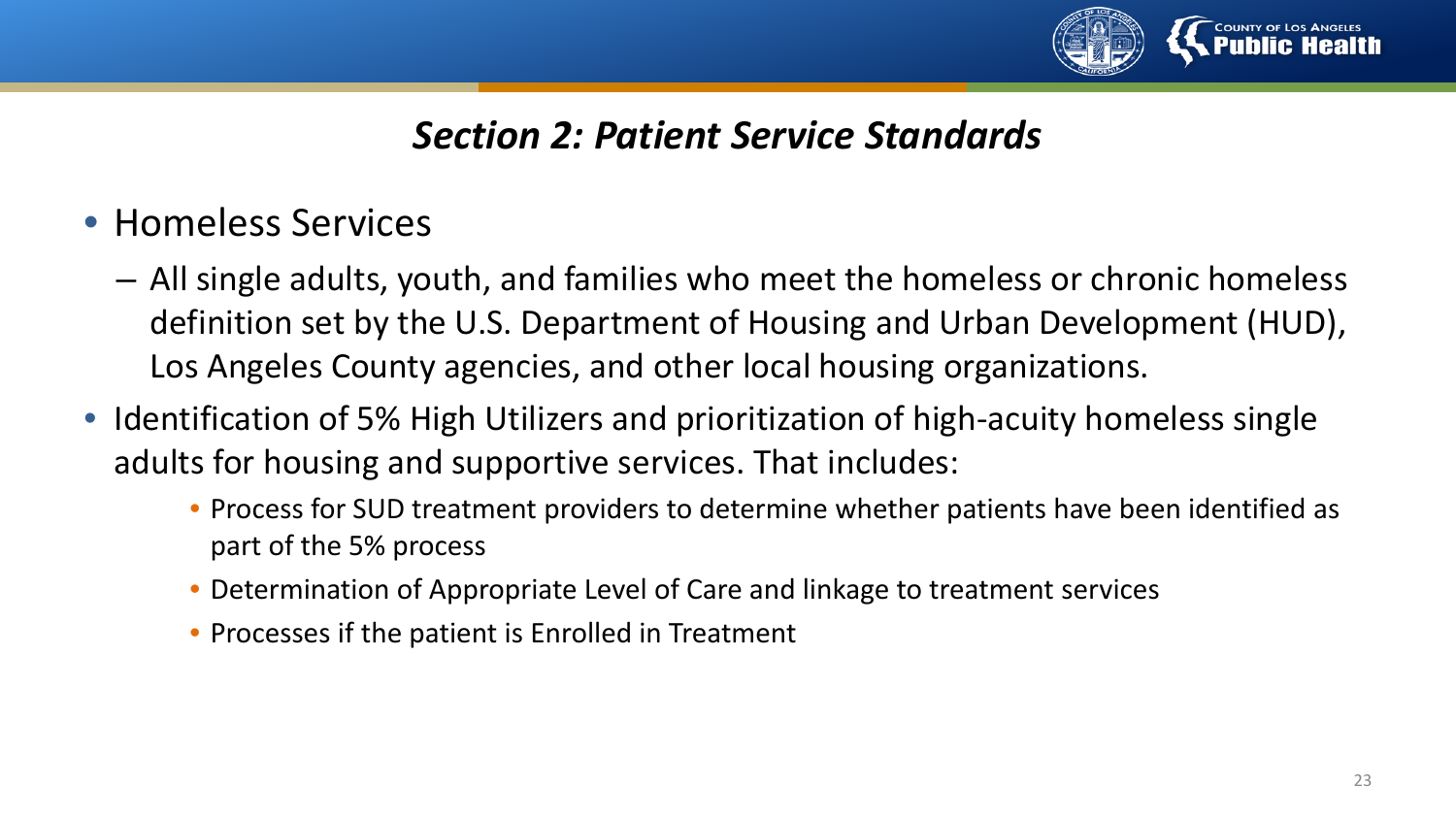

- Homeless Services
	- All single adults, youth, and families who meet the homeless or chronic homeless definition set by the U.S. Department of Housing and Urban Development (HUD), Los Angeles County agencies, and other local housing organizations.
- Identification of 5% High Utilizers and prioritization of high-acuity homeless single adults for housing and supportive services. That includes:
	- Process for SUD treatment providers to determine whether patients have been identified as part of the 5% process
	- Determination of Appropriate Level of Care and linkage to treatment services
	- Processes if the patient is Enrolled in Treatment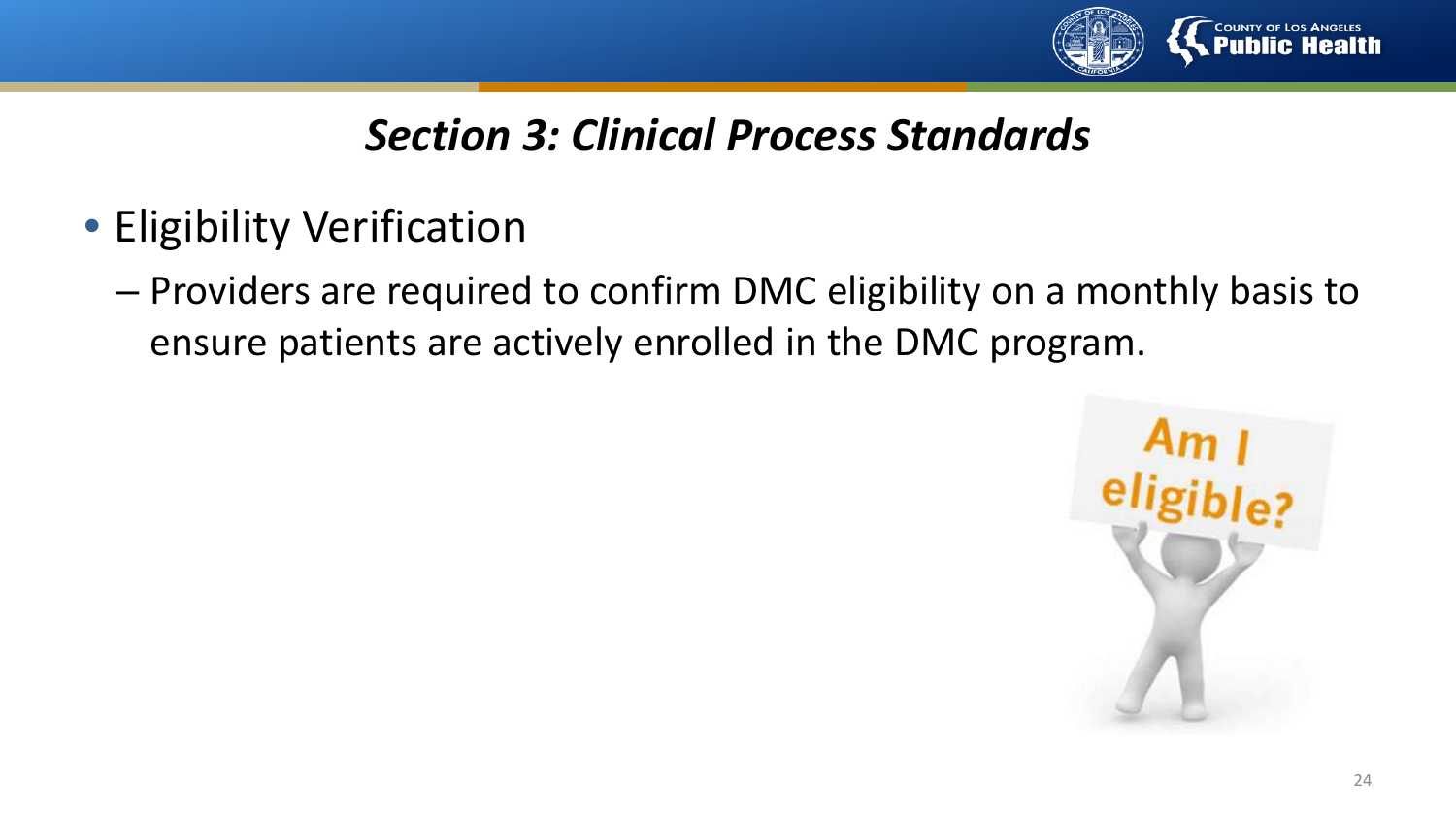

- Eligibility Verification
	- Providers are required to confirm DMC eligibility on a monthly basis to ensure patients are actively enrolled in the DMC program.

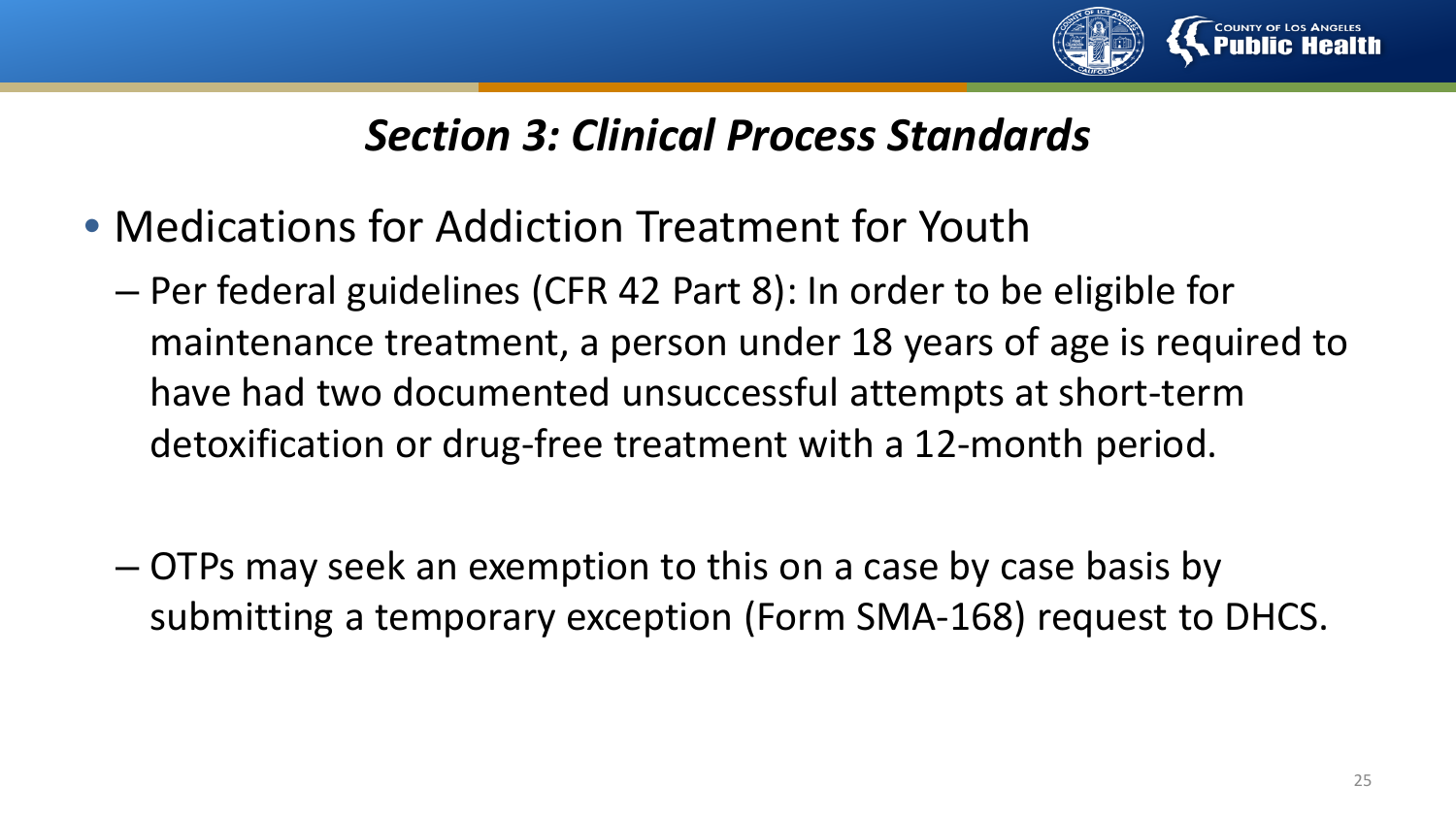

- Medications for Addiction Treatment for Youth
	- Per federal guidelines (CFR 42 Part 8): In order to be eligible for maintenance treatment, a person under 18 years of age is required to have had two documented unsuccessful attempts at short-term detoxification or drug-free treatment with a 12-month period.
	- OTPs may seek an exemption to this on a case by case basis by submitting a temporary exception (Form SMA-168) request to DHCS.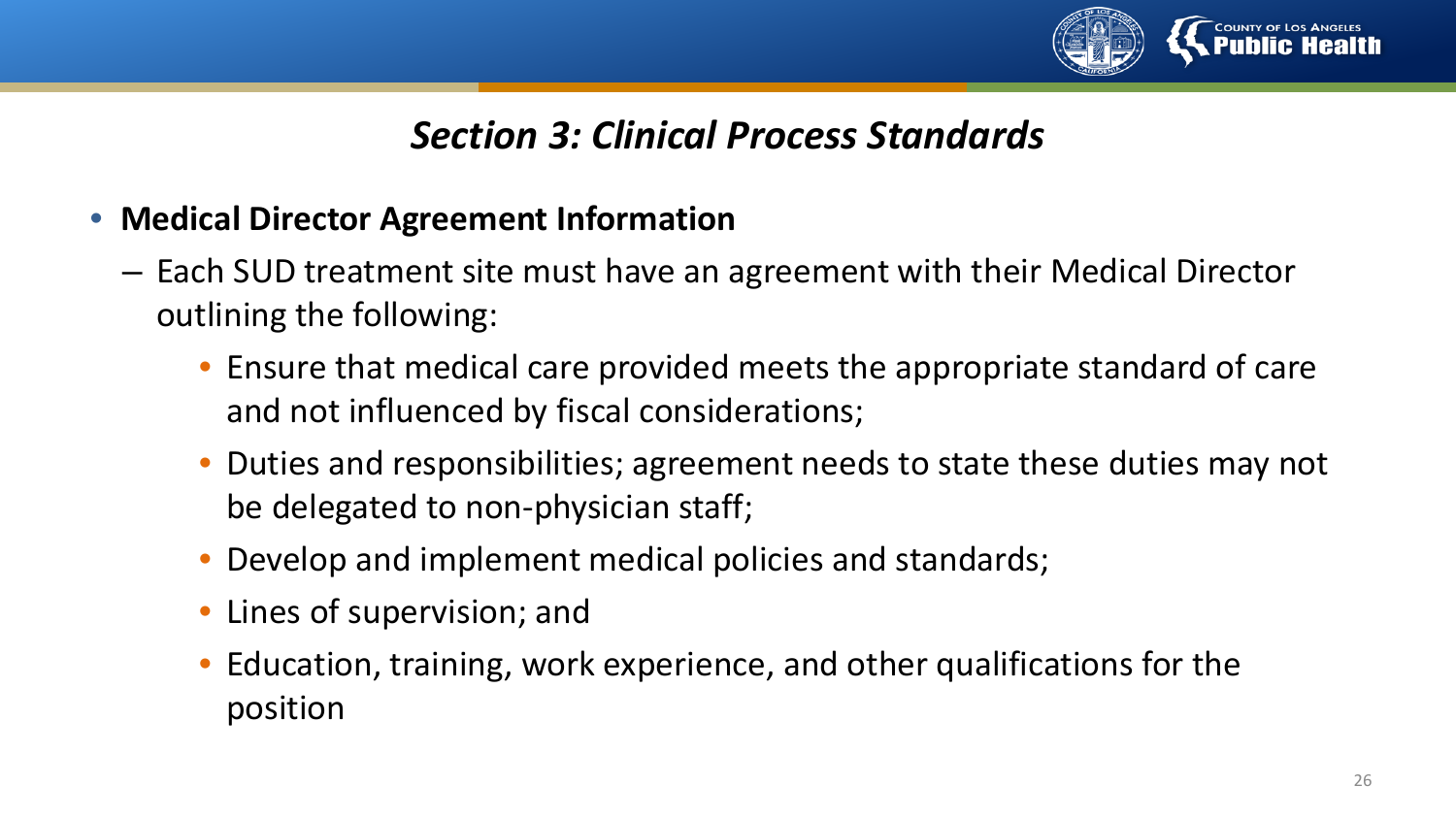

- **Medical Director Agreement Information**
	- Each SUD treatment site must have an agreement with their Medical Director outlining the following:
		- Ensure that medical care provided meets the appropriate standard of care and not influenced by fiscal considerations;
		- Duties and responsibilities; agreement needs to state these duties may not be delegated to non-physician staff;
		- Develop and implement medical policies and standards;
		- Lines of supervision; and
		- Education, training, work experience, and other qualifications for the position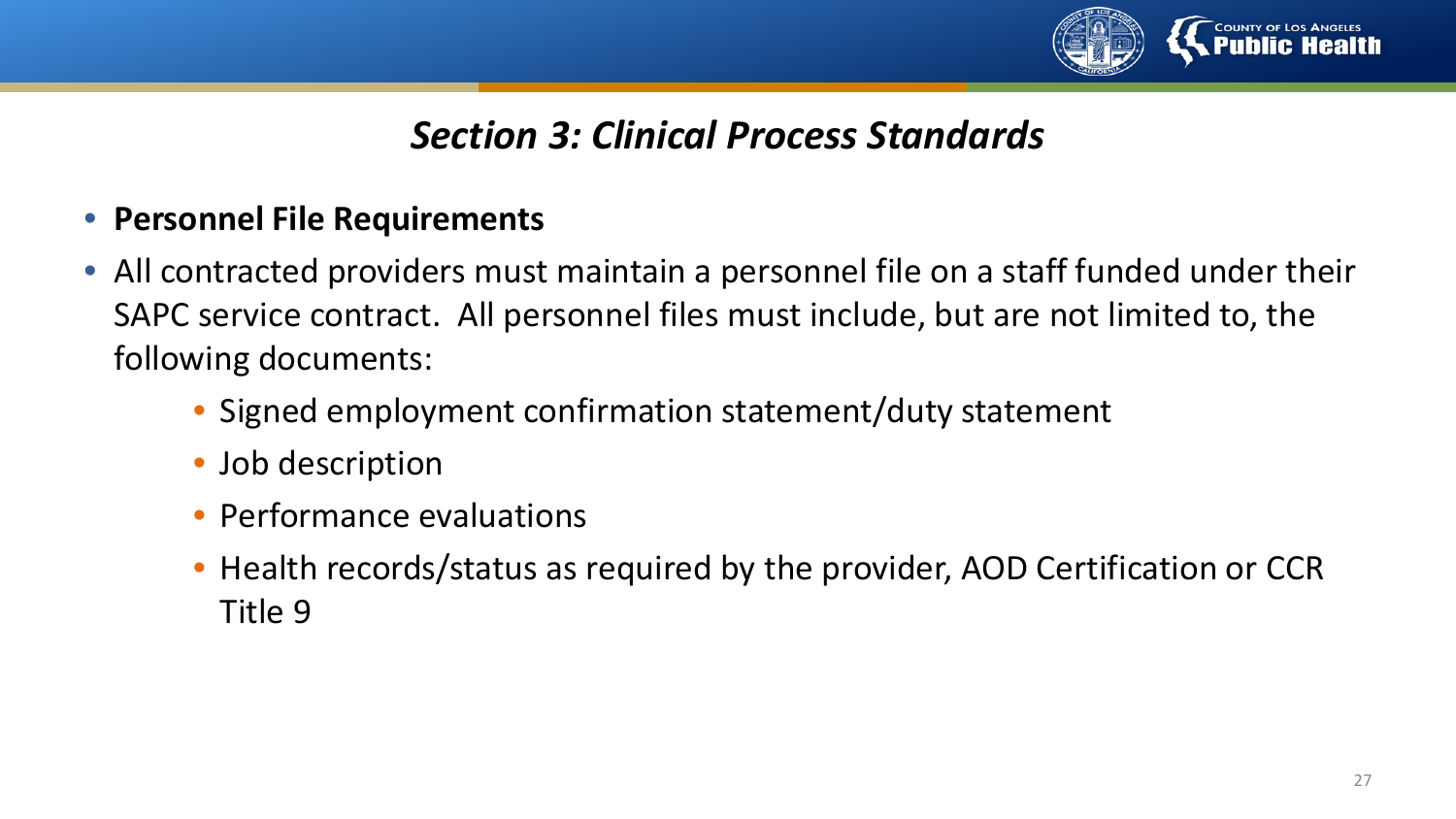

- **Personnel File Requirements**
- All contracted providers must maintain a personnel file on a staff funded under their SAPC service contract. All personnel files must include, but are not limited to, the following documents:
	- Signed employment confirmation statement/duty statement
	- Job description
	- Performance evaluations
	- Health records/status as required by the provider, AOD Certification or CCR Title 9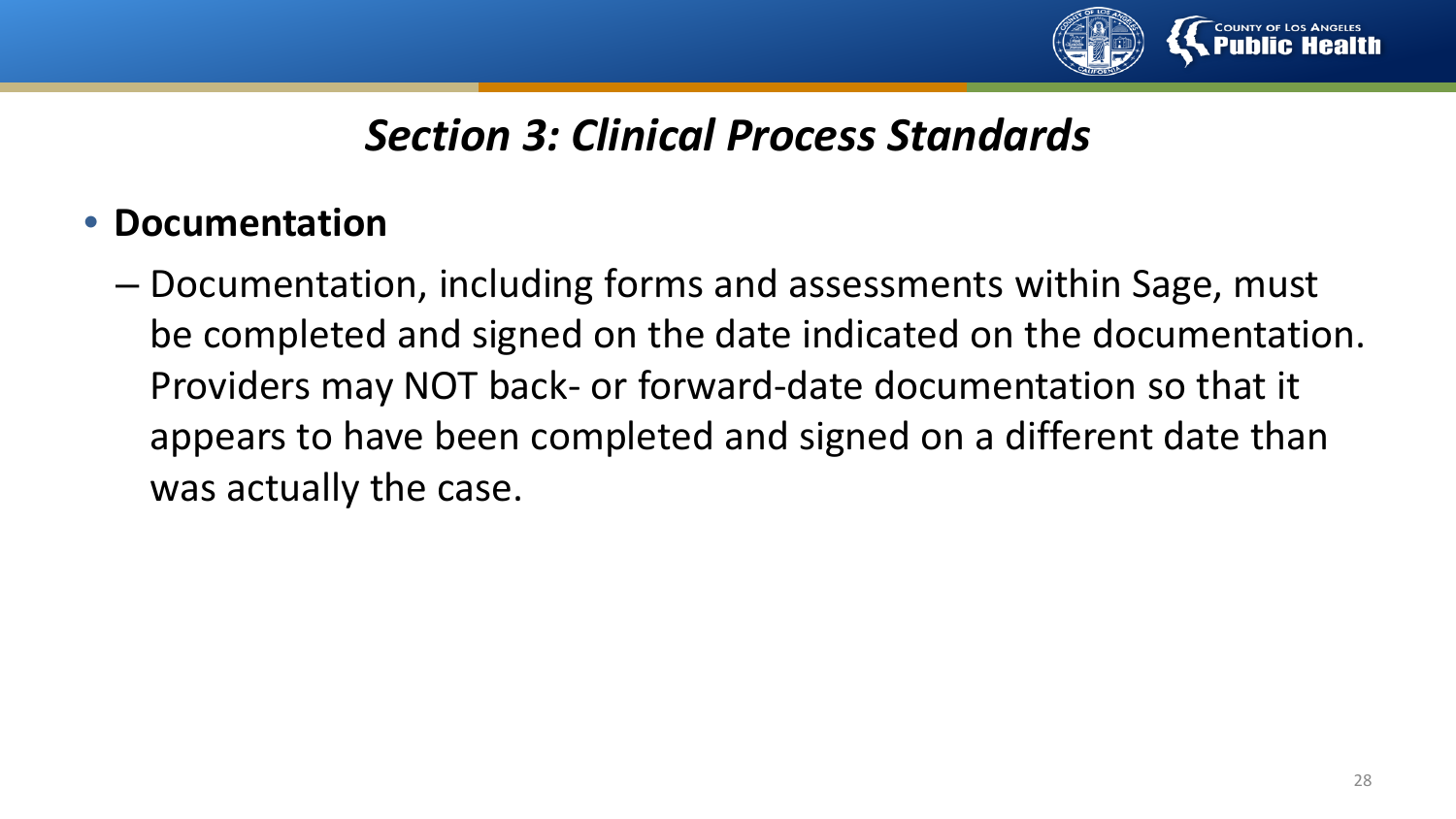

#### • **Documentation**

– Documentation, including forms and assessments within Sage, must be completed and signed on the date indicated on the documentation. Providers may NOT back- or forward-date documentation so that it appears to have been completed and signed on a different date than was actually the case.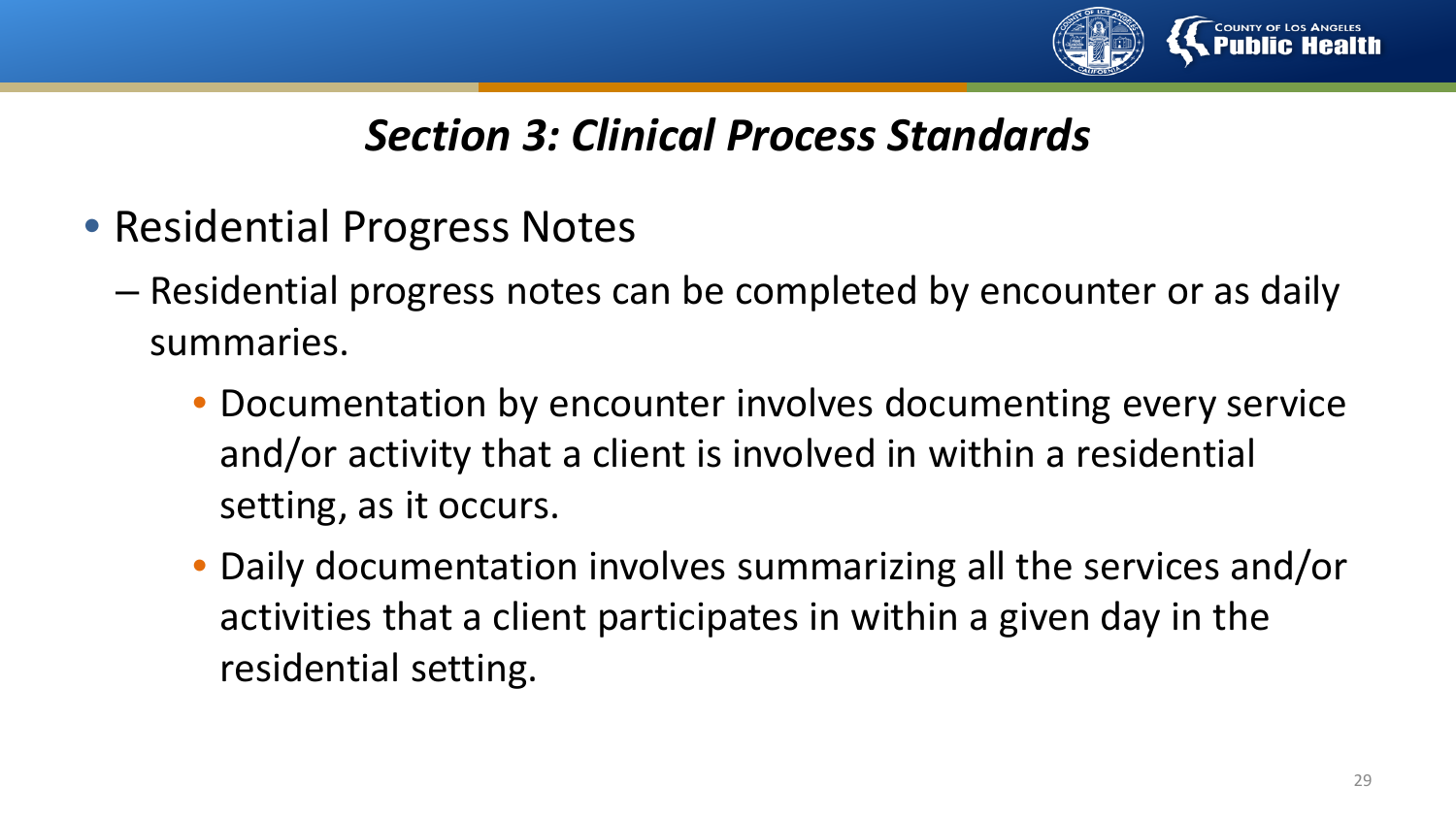

- Residential Progress Notes
	- Residential progress notes can be completed by encounter or as daily summaries.
		- Documentation by encounter involves documenting every service and/or activity that a client is involved in within a residential setting, as it occurs.
		- Daily documentation involves summarizing all the services and/or activities that a client participates in within a given day in the residential setting.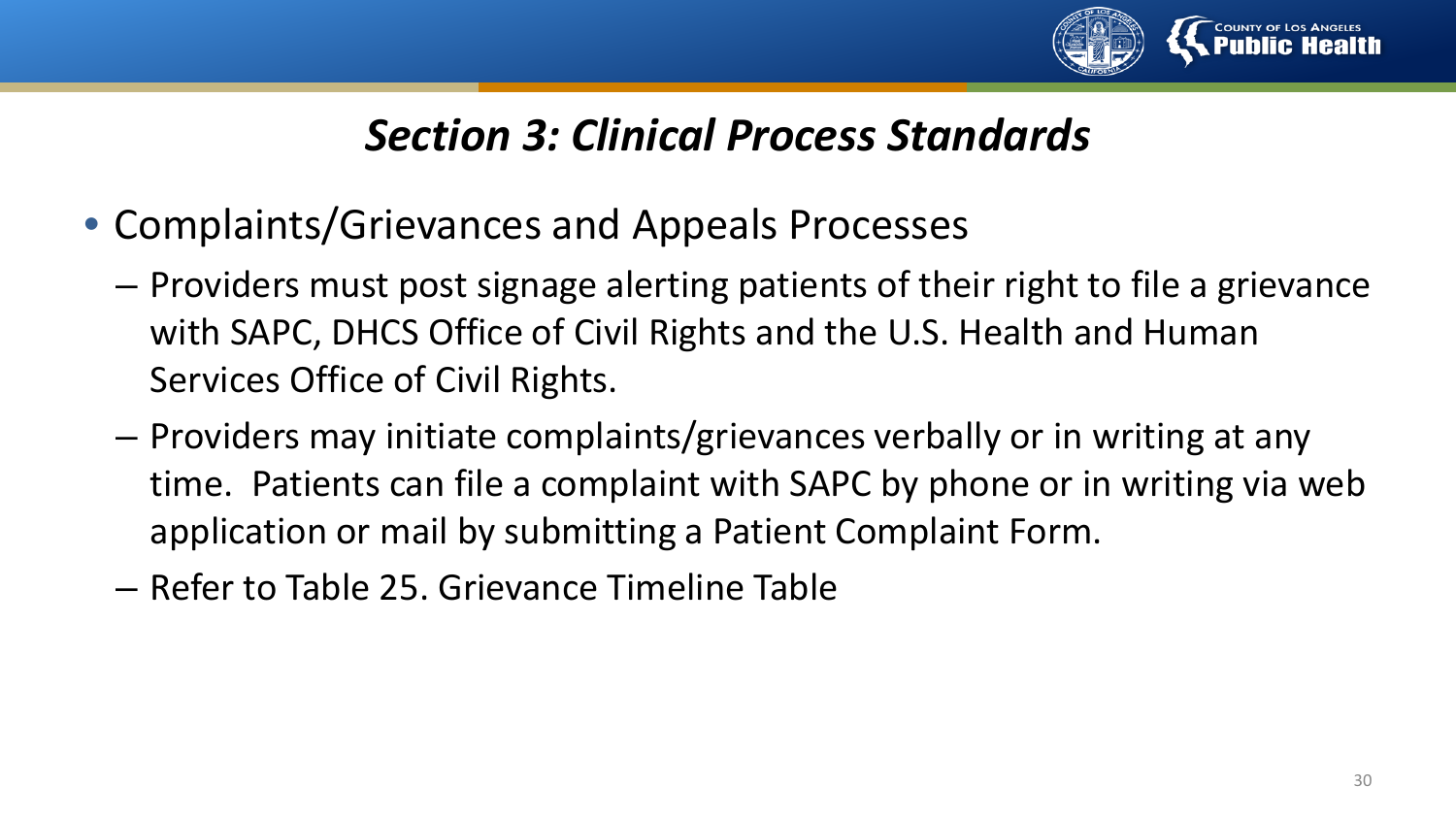

- Complaints/Grievances and Appeals Processes
	- Providers must post signage alerting patients of their right to file a grievance with SAPC, DHCS Office of Civil Rights and the U.S. Health and Human Services Office of Civil Rights.
	- Providers may initiate complaints/grievances verbally or in writing at any time. Patients can file a complaint with SAPC by phone or in writing via web application or mail by submitting a Patient Complaint Form.
	- Refer to Table 25. Grievance Timeline Table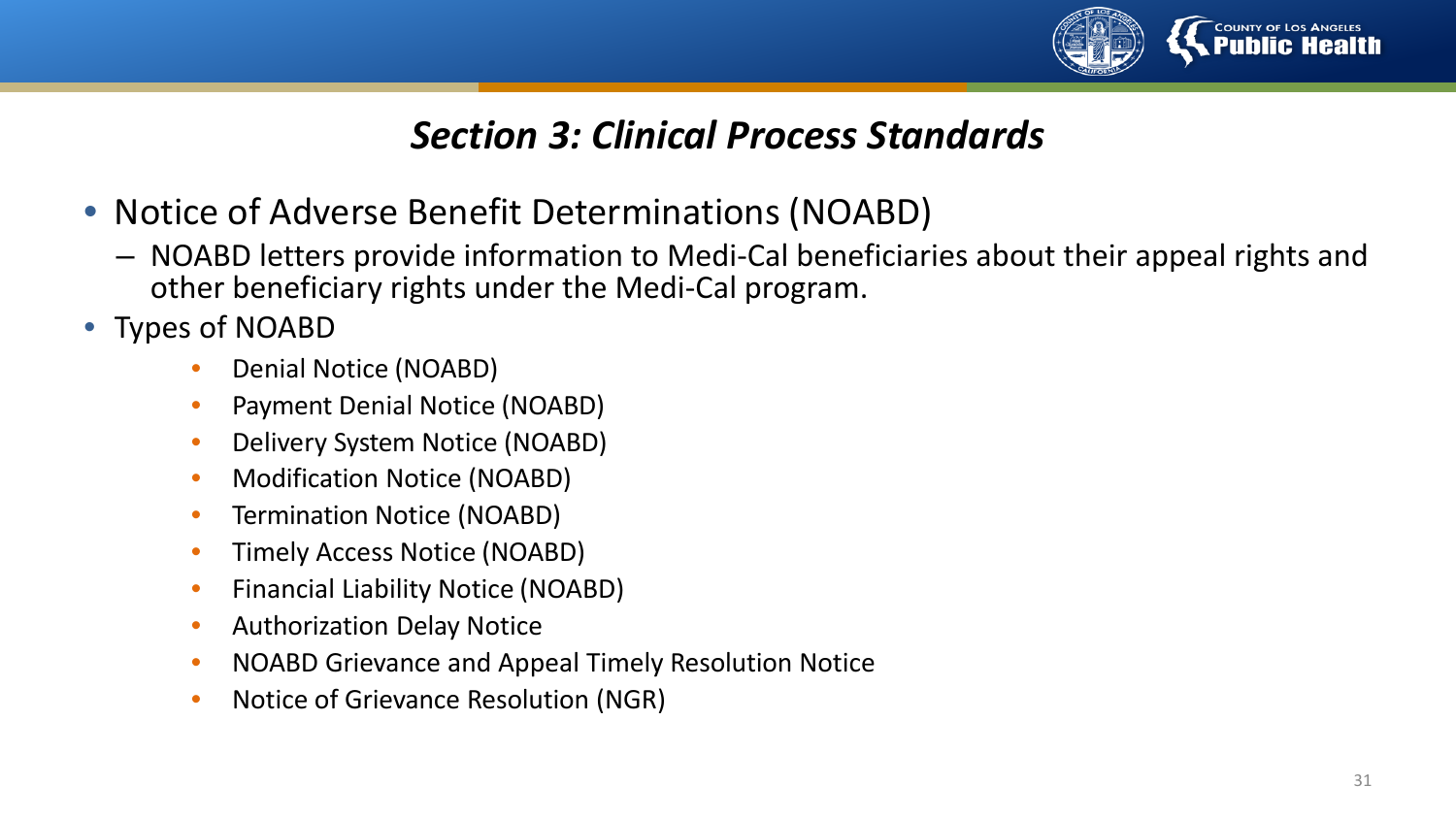

- Notice of Adverse Benefit Determinations (NOABD)
	- NOABD letters provide information to Medi-Cal beneficiaries about their appeal rights and other beneficiary rights under the Medi-Cal program.
- Types of NOABD
	- Denial Notice (NOABD)
	- Payment Denial Notice (NOABD)
	- Delivery System Notice (NOABD)
	- Modification Notice (NOABD)
	- Termination Notice (NOABD)
	- Timely Access Notice (NOABD)
	- Financial Liability Notice (NOABD)
	- Authorization Delay Notice
	- NOABD Grievance and Appeal Timely Resolution Notice
	- Notice of Grievance Resolution (NGR)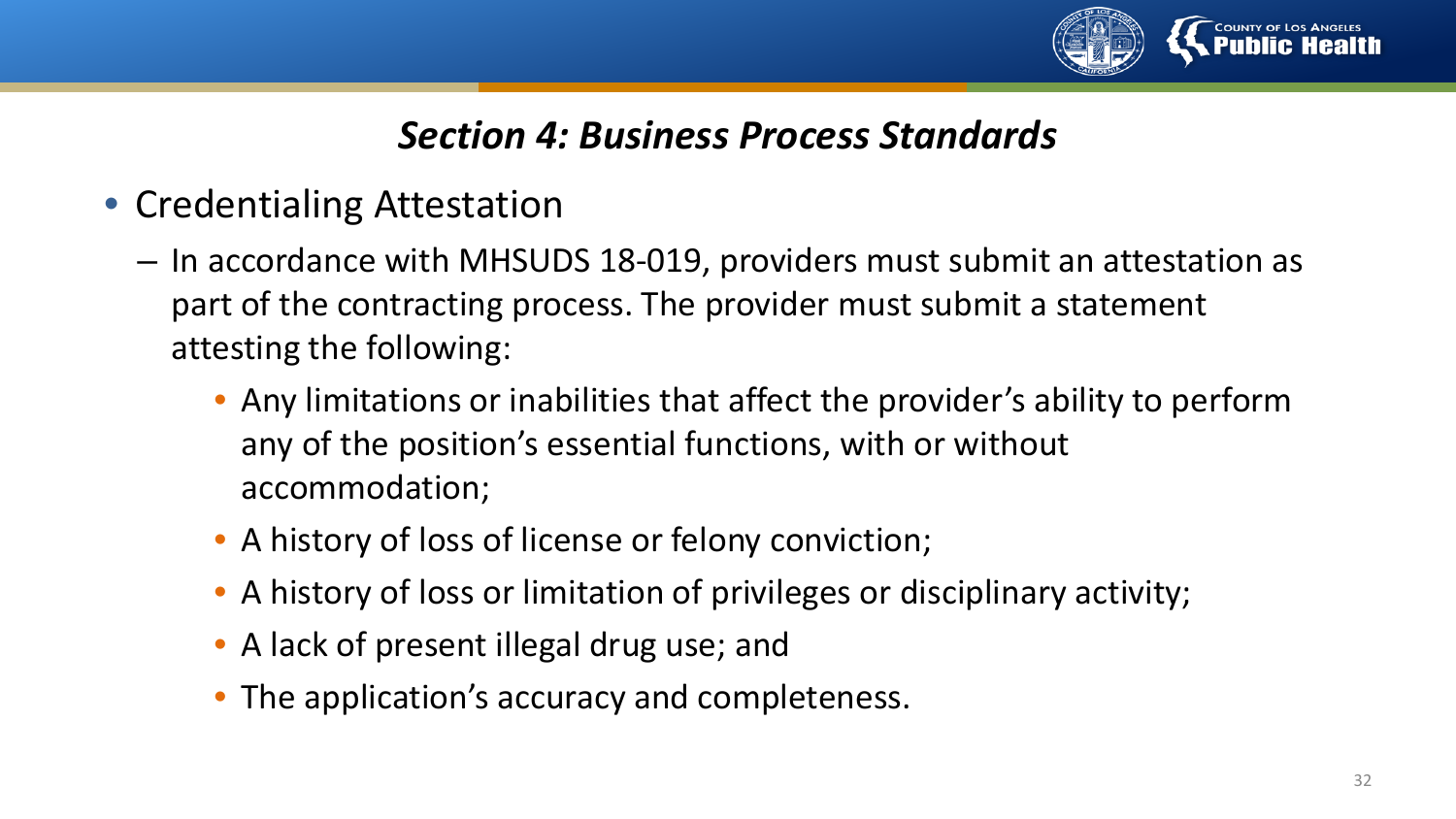

#### *Section 4: Business Process Standards*

- Credentialing Attestation
	- In accordance with MHSUDS 18-019, providers must submit an attestation as part of the contracting process. The provider must submit a statement attesting the following:
		- Any limitations or inabilities that affect the provider's ability to perform any of the position's essential functions, with or without accommodation;
		- A history of loss of license or felony conviction;
		- A history of loss or limitation of privileges or disciplinary activity;
		- A lack of present illegal drug use; and
		- The application's accuracy and completeness.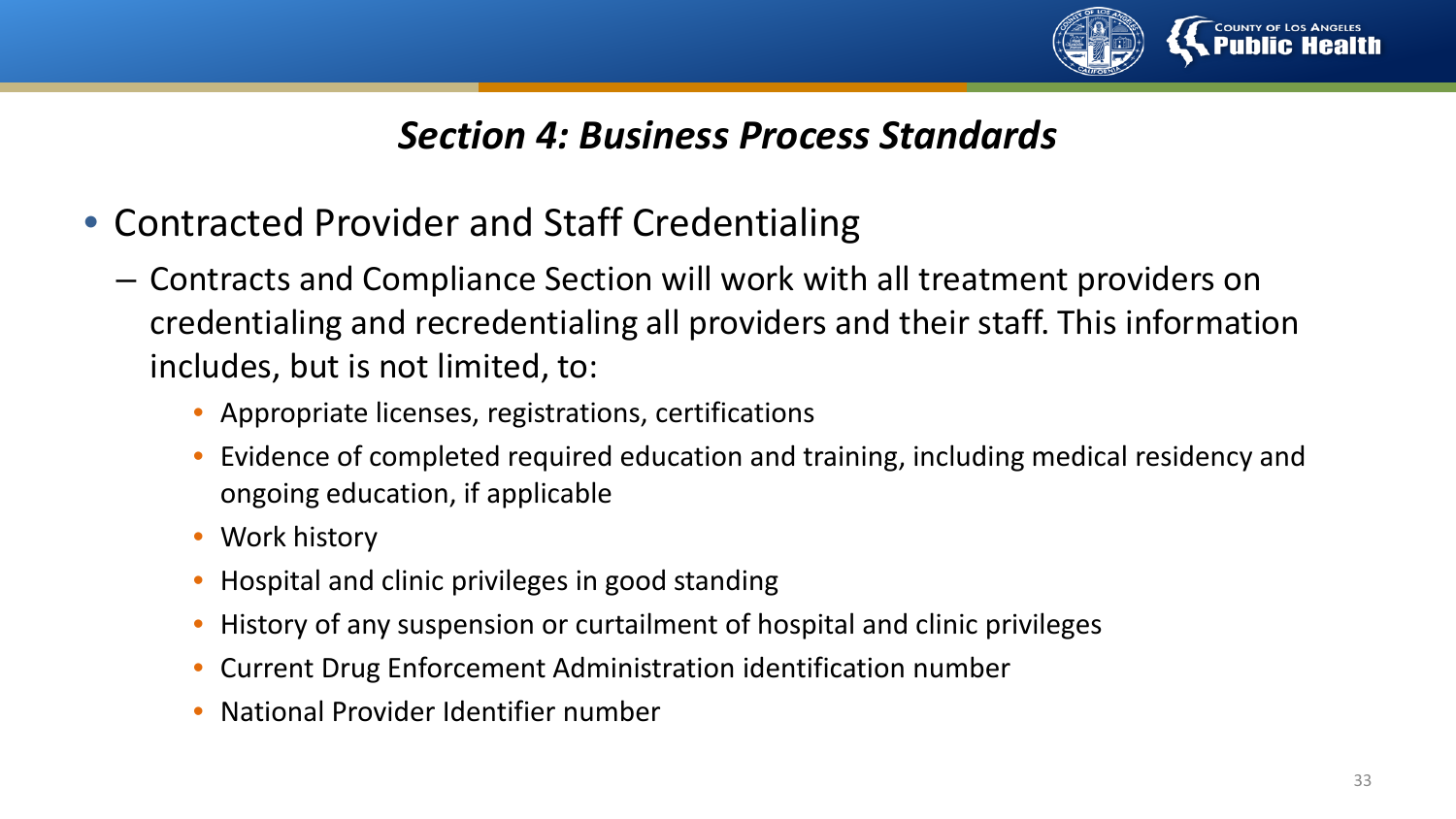

#### *Section 4: Business Process Standards*

- Contracted Provider and Staff Credentialing
	- Contracts and Compliance Section will work with all treatment providers on credentialing and recredentialing all providers and their staff. This information includes, but is not limited, to:
		- Appropriate licenses, registrations, certifications
		- Evidence of completed required education and training, including medical residency and ongoing education, if applicable
		- Work history
		- Hospital and clinic privileges in good standing
		- History of any suspension or curtailment of hospital and clinic privileges
		- Current Drug Enforcement Administration identification number
		- National Provider Identifier number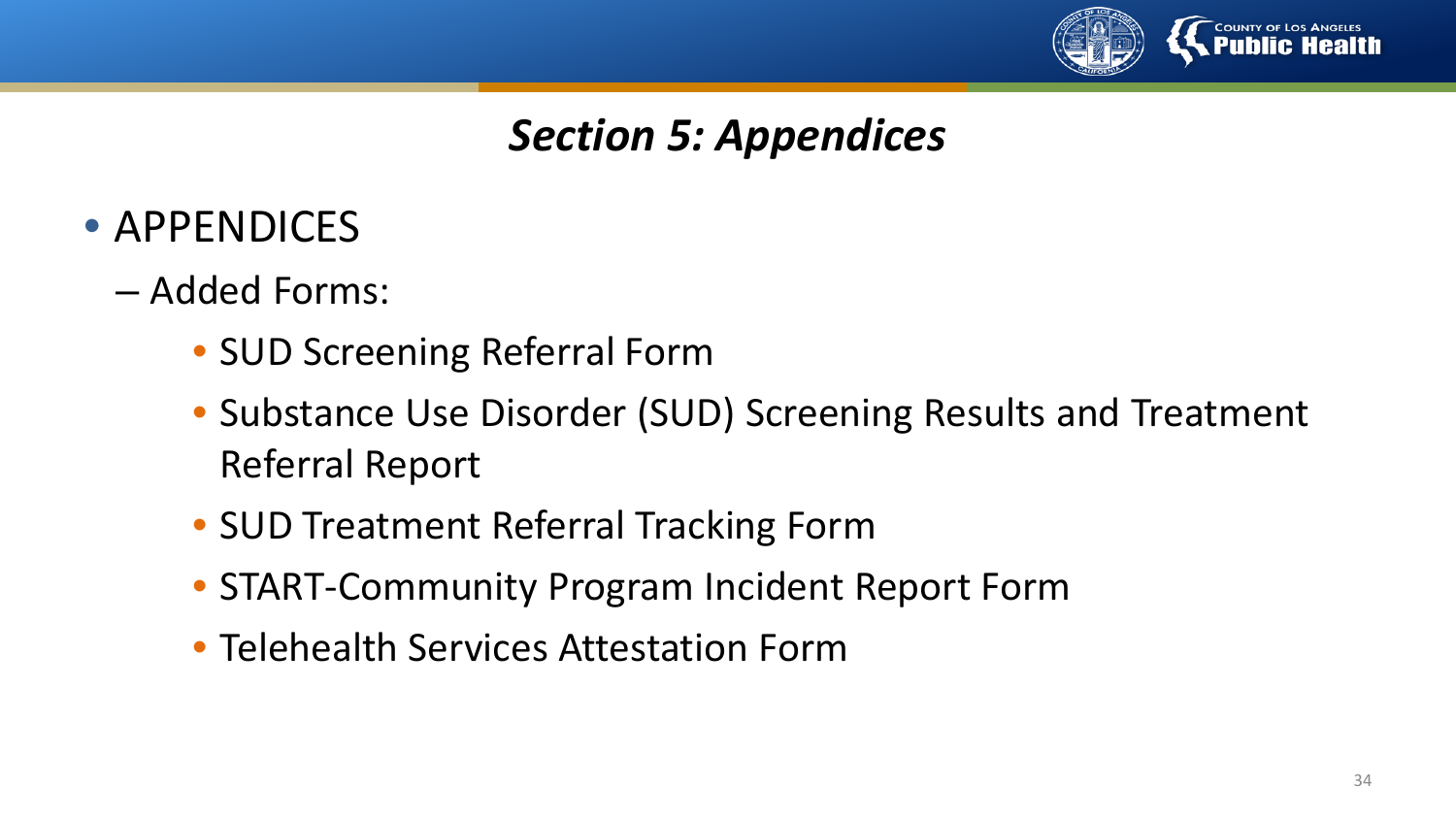

## *Section 5: Appendices*

- APPENDICES
	- Added Forms:
		- SUD Screening Referral Form
		- Substance Use Disorder (SUD) Screening Results and Treatment Referral Report
		- SUD Treatment Referral Tracking Form
		- START-Community Program Incident Report Form
		- Telehealth Services Attestation Form